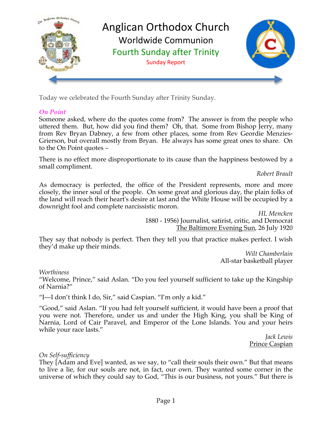

Today we celebrated the Fourth Sunday after Trinity Sunday.

### *On Point*

Someone asked, where do the quotes come from? The answer is from the people who uttered them. But, how did you find them? Oh, that. Some from Bishop Jerry, many from Rev Bryan Dabney, a few from other places, some from Rev Geordie Menzies-Grierson, but overall mostly from Bryan. He always has some great ones to share. On to the On Point quotes –

There is no effect more disproportionate to its cause than the happiness bestowed by a small compliment.

*Robert Brault*

As democracy is perfected, the office of the President represents, more and more closely, the inner soul of the people. On some great and glorious day, the plain folks of the land will reach their heart's desire at last and the White House will be occupied by a downright fool and complete narcissistic moron.

> *HL Mencken* 1880 - 1956) Journalist, satirist, critic, and Democrat The Baltimore Evening Sun, 26 July 1920

They say that nobody is perfect. Then they tell you that practice makes perfect. I wish they'd make up their minds.

*Wilt Chamberlain* All-star basketball player

*Worthiness*

"Welcome, Prince," said Aslan. "Do you feel yourself sufficient to take up the Kingship of Narnia?"

"I—I don't think I do, Sir," said Caspian. "I'm only a kid."

"Good," said Aslan. "If you had felt yourself sufficient, it would have been a proof that you were not. Therefore, under us and under the High King, you shall be King of Narnia, Lord of Cair Paravel, and Emperor of the Lone Islands. You and your heirs while your race lasts."

*Jack Lewis* Prince Caspian

### *On Self-sufficiency*

They [Adam and Eve] wanted, as we say, to "call their souls their own." But that means to live a lie, for our souls are not, in fact, our own. They wanted some corner in the universe of which they could say to God, "This is our business, not yours." But there is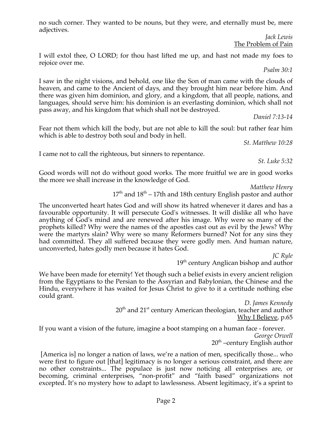no such corner. They wanted to be nouns, but they were, and eternally must be, mere adjectives.

*Jack Lewis* The Problem of Pain

I will extol thee, O LORD; for thou hast lifted me up, and hast not made my foes to rejoice over me.

*Psalm 30:1*

I saw in the night visions, and behold, one like the Son of man came with the clouds of heaven, and came to the Ancient of days, and they brought him near before him. And there was given him dominion, and glory, and a kingdom, that all people, nations, and languages, should serve him: his dominion is an everlasting dominion, which shall not pass away, and his kingdom that which shall not be destroyed.

*Daniel 7:13-14*

Fear not them which kill the body, but are not able to kill the soul: but rather fear him which is able to destroy both soul and body in hell.

*St. Matthew 10:28*

I came not to call the righteous, but sinners to repentance.

*St. Luke 5:32*

Good words will not do without good works. The more fruitful we are in good works the more we shall increase in the knowledge of God.

*Matthew Henry*

 $17<sup>th</sup>$  and  $18<sup>th</sup> - 17$ th and 18th century English pastor and author

The unconverted heart hates God and will show its hatred whenever it dares and has a favourable opportunity. It will persecute God's witnesses. It will dislike all who have anything of God's mind and are renewed after his image. Why were so many of the prophets killed? Why were the names of the apostles cast out as evil by the Jews? Why were the martyrs slain? Why were so many Reformers burned? Not for any sins they had committed. They all suffered because they were godly men. And human nature, unconverted, hates godly men because it hates God.

*JC Ryle* 19<sup>th</sup> century Anglican bishop and author

We have been made for eternity! Yet though such a belief exists in every ancient religion from the Egyptians to the Persian to the Assyrian and Babylonian, the Chinese and the Hindu, everywhere it has waited for Jesus Christ to give to it a certitude nothing else could grant.

*D. James Kennedy* 20<sup>th</sup> and 21<sup>st</sup> century American theologian, teacher and author Why I Believe, p.65

If you want a vision of the future, imagine a boot stamping on a human face - forever. *George Orwell*  $20<sup>th</sup>$  –century English author

 [America is] no longer a nation of laws, we're a nation of men, specifically those... who were first to figure out [that] legitimacy is no longer a serious constraint, and there are no other constraints... The populace is just now noticing all enterprises are, or becoming, criminal enterprises, "non-profit" and "faith based" organizations not excepted. It's no mystery how to adapt to lawlessness. Absent legitimacy, it's a sprint to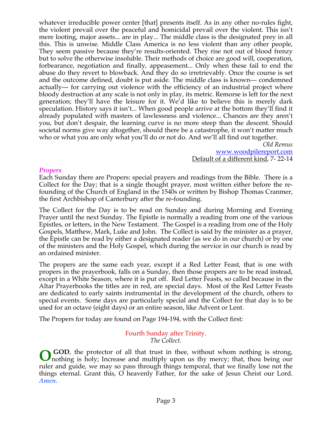whatever irreducible power center [that] presents itself. As in any other no-rules fight, the violent prevail over the peaceful and homicidal prevail over the violent. This isn't mere looting, major assets... are in play... The middle class is the designated prey in all this. This is unwise. Middle Class America is no less violent than any other people, They seem passive because they're results-oriented. They rise not out of blood frenzy but to solve the otherwise insoluble. Their methods of choice are good will, cooperation, forbearance, negotiation and finally, appeasement... Only when these fail to end the abuse do they revert to blowback. And they do so irretrievably. Once the course is set and the outcome defined, doubt is put aside. The middle class is known— condemned actually— for carrying out violence with the efficiency of an industrial project where bloody destruction at any scale is not only in play, its metric. Remorse is left for the next generation; they'll have the leisure for it. We'd like to believe this is merely dark speculation. History says it isn't... When good people arrive at the bottom they'll find it already populated with masters of lawlessness and violence... Chances are they aren't you, but don't despair, the learning curve is no more steep than the descent. Should societal norms give way altogether, should there be a catastrophe, it won't matter much who or what you are only what you'll do or not do. And we'll all find out together.

> *Old Remus*  www.woodpilereport.com Default of a different kind, 7- 22-14

#### *Propers*

Each Sunday there are Propers: special prayers and readings from the Bible. There is a Collect for the Day; that is a single thought prayer, most written either before the refounding of the Church of England in the 1540s or written by Bishop Thomas Cranmer, the first Archbishop of Canterbury after the re-founding.

The Collect for the Day is to be read on Sunday and during Morning and Evening Prayer until the next Sunday. The Epistle is normally a reading from one of the various Epistles, or letters, in the New Testament. The Gospel is a reading from one of the Holy Gospels, Matthew, Mark, Luke and John. The Collect is said by the minister as a prayer, the Epistle can be read by either a designated reader (as we do in our church) or by one of the ministers and the Holy Gospel, which during the service in our church is read by an ordained minister.

The propers are the same each year, except if a Red Letter Feast, that is one with propers in the prayerbook, falls on a Sunday, then those propers are to be read instead, except in a White Season, where it is put off. Red Letter Feasts, so called because in the Altar Prayerbooks the titles are in red, are special days. Most of the Red Letter Feasts are dedicated to early saints instrumental in the development of the church, others to special events. Some days are particularly special and the Collect for that day is to be used for an octave (eight days) or an entire season, like Advent or Lent.

The Propers for today are found on Page 194-194, with the Collect first:

#### Fourth Sunday after Trinity. *The Collect.*

**GOD**, the protector of all that trust in thee, without whom nothing is strong, **O** GOD, the protector of all that trust in thee, without whom nothing is strong, nothing is holy; Increase and multiply upon us thy mercy; that, thou being our ruler and guide, we may so pass through things temporal, that we finally lose not the things eternal. Grant this, O heavenly Father, for the sake of Jesus Christ our Lord. *Amen.*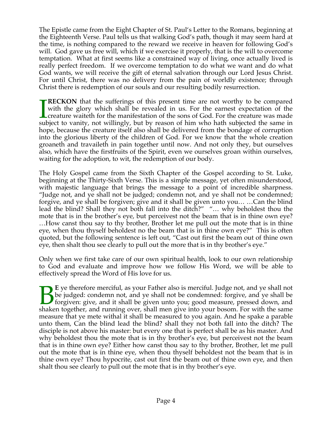The Epistle came from the Eight Chapter of St. Paul's Letter to the Romans, beginning at the Eighteenth Verse. Paul tells us that walking God's path, though it may seem hard at the time, is nothing compared to the reward we receive in heaven for following God's will. God gave us free will, which if we exercise it properly, that is the will to overcome temptation. What at first seems like a constrained way of living, once actually lived is really perfect freedom. If we overcome temptation to do what we want and do what God wants, we will receive the gift of eternal salvation through our Lord Jesus Christ. For until Christ, there was no delivery from the pain of worldly existence; through Christ there is redemption of our souls and our resulting bodily resurrection.

**RECKON** that the sufferings of this present time are not worthy to be compared with the glory which shall be revealed in us. For the earnest expectation of the creature waiteth for the manifestation of the sons of God. For the creature was made subject to vanity, not willingly, but by reason of him who hath subjected the same in hope, because the creature itself also shall be delivered from the bondage of corruption into the glorious liberty of the children of God. For we know that the whole creation groaneth and travaileth in pain together until now. And not only they, but ourselves also, which have the firstfruits of the Spirit, even we ourselves groan within ourselves, waiting for the adoption, to wit, the redemption of our body.  $\prod_{{\rm sub}}$ 

The Holy Gospel came from the Sixth Chapter of the Gospel according to St. Luke, beginning at the Thirty-Sixth Verse. This is a simple message, yet often misunderstood, with majestic language that brings the message to a point of incredible sharpness. "Judge not, and ye shall not be judged; condemn not, and ye shall not be condemned; forgive, and ye shall be forgiven; give and it shall be given unto you… …Can the blind lead the blind? Shall they not both fall into the ditch?" "… why beholdest thou the mote that is in the brother's eye, but perceivest not the beam that is in thine own eye? …How canst thou say to thy brother, Brother let me pull out the mote that is in thine eye, when thou thyself beholdest no the beam that is in thine own eye?" This is often quoted, but the following sentence is left out, "Cast out first the beam out of thine own eye, then shalt thou see clearly to pull out the more that is in thy brother's eye."

Only when we first take care of our own spiritual health, look to our own relationship to God and evaluate and improve how we follow His Word, we will be able to effectively spread the Word of His love for us.

**E** ye therefore merciful, as your Father also is merciful. Judge not, and ye shall not be judged: condemn not, and ye shall not be condemned: forgive, and ye shall be forgiven: give, and it shall be given unto you; good measure, pressed down, and E ye therefore merciful, as your Father also is merciful. Judge not, and ye shall not be judged: condemn not, and ye shall not be condemned: forgive, and ye shall be forgiven: give, and it shall be given unto you; good mea measure that ye mete withal it shall be measured to you again. And he spake a parable unto them, Can the blind lead the blind? shall they not both fall into the ditch? The disciple is not above his master: but every one that is perfect shall be as his master. And why beholdest thou the mote that is in thy brother's eye, but perceivest not the beam that is in thine own eye? Either how canst thou say to thy brother, Brother, let me pull out the mote that is in thine eye, when thou thyself beholdest not the beam that is in thine own eye? Thou hypocrite, cast out first the beam out of thine own eye, and then shalt thou see clearly to pull out the mote that is in thy brother's eye.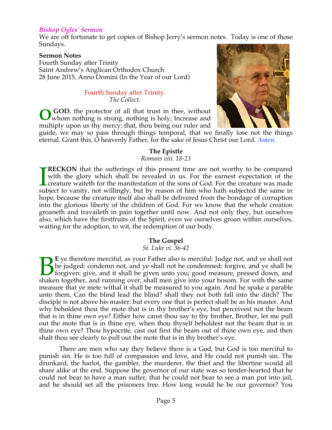#### *Bishop Ogles' Sermon*

We are oft fortunate to get copies of Bishop Jerry's sermon notes. Today is one of those Sundays.

#### **Sermon Notes**

Fourth Sunday after Trinity Saint Andrew's Anglican Orthodox Church 28 June 2015, Anno Domini (In the Year of our Lord)

#### Fourth Sunday after Trinity. *The Collect.*

 **GOD**, the protector of all that trust in thee, without whom nothing is strong, nothing is holy; Increase and multiply upon us thy mercy; that, thou being our ruler and **O**



guide, we may so pass through things temporal, that we finally lose not the things eternal. Grant this, O heavenly Father, for the sake of Jesus Christ our Lord. *Amen.*

#### **The Epistle**

*Romans viii. 18-23*

**RECKON** that the sufferings of this present time are not worthy to be compared with the glory which shall be revealed in us. For the earnest expectation of the creature waiteth for the manifestation of the sons of God. For the creature was made **SURFECKON** that the sufferings of this present time are not worthy to be compared with the glory which shall be revealed in us. For the earnest expectation of the creature waiteth for the manifestation of the sons of God. hope, because the creature itself also shall be delivered from the bondage of corruption into the glorious liberty of the children of God. For we know that the whole creation groaneth and travaileth in pain together until now. And not only they, but ourselves also, which have the firstfruits of the Spirit, even we ourselves groan within ourselves, waiting for the adoption, to wit, the redemption of our body.

#### **The Gospel**

*St. Luke vi. 36-42*

**E** ye therefore merciful, as your Father also is merciful. Judge not, and ye shall not be judged: condemn not, and ye shall not be condemned: forgive, and ye shall be forgiven: give, and it shall be given unto you; good measure, pressed down, and E ye therefore merciful, as your Father also is merciful. Judge not, and ye shall not be judged: condemn not, and ye shall not be condemned: forgive, and ye shall be forgiven: give, and it shall be given unto you; good mea measure that ye mete withal it shall be measured to you again. And he spake a parable unto them, Can the blind lead the blind? shall they not both fall into the ditch? The disciple is not above his master: but every one that is perfect shall be as his master. And why beholdest thou the mote that is in thy brother's eye, but perceivest not the beam that is in thine own eye? Either how canst thou say to thy brother, Brother, let me pull out the mote that is in thine eye, when thou thyself beholdest not the beam that is in thine own eye? Thou hypocrite, cast out first the beam out of thine own eye, and then shalt thou see clearly to pull out the mote that is in thy brother's eye.

 There are men who say they believe there is a God, but God is too merciful to punish sin. He is too full of compassion and love, and He could not punish sin. The drunkard, the harlot, the gambler, the murderer, the thief and the libertine would all share alike at the end. Suppose the governor of our state was so tender-hearted that he could not bear to have a man suffer, that he could not bear to see a man put into jail, and he should set all the prisoners free. How long would he be our governor? You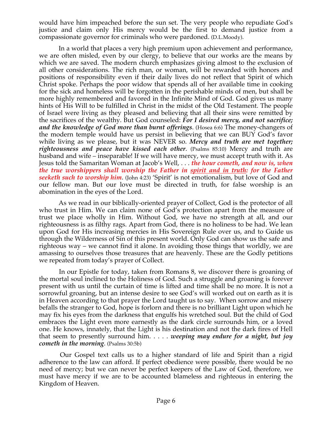would have him impeached before the sun set. The very people who repudiate God's justice and claim only His mercy would be the first to demand justice from a compassionate governor for criminals who were pardoned. (D.L.Moody)*.*

 In a world that places a very high premium upon achievement and performance, we are often misled, even by our clergy, to believe that our works are the means by which we are saved. The modern church emphasizes giving almost to the exclusion of all other considerations. The rich man, or woman, will be rewarded with honors and positions of responsibility even if their daily lives do not reflect that Spirit of which Christ spoke. Perhaps the poor widow that spends all of her available time in cooking for the sick and homeless will be forgotten in the perishable minds of men, but shall be more highly remembered and favored in the Infinite Mind of God. God gives us many hints of His Will to be fulfilled in Christ in the midst of the Old Testament. The people of Israel were living as they pleased and believing that all their sins were remitted by the sacrifices of the wealthy. But God counseled: *For I desired mercy, and not sacrifice; and the knowledge of God more than burnt offerings*. (Hosea 6:6) The money-changers of the modern temple would have us persist in believing that we can BUY God's favor while living as we please, but it was NEVER so. *Mercy and truth are met together; righteousness and peace have kissed each other*. (Psalms 85:10) Mercy and truth are husband and wife – inseparable! If we will have mercy, we must accept truth with it. As Jesus told the Samaritan Woman at Jacob's Well, . . . *the hour cometh, and now is, when the true worshippers shall worship the Father in spirit and in truth: for the Father seeketh such to worship him*. (John 4:23) 'Spirit' is not emotionalism, but love of God and our fellow man. But our love must be directed in truth, for false worship is an abomination in the eyes of the Lord.

 As we read in our biblically-oriented prayer of Collect, God is the protector of all who trust in Him. We can claim none of God's protection apart from the measure of trust we place wholly in Him. Without God, we have no strength at all, and our righteousness is as filthy rags. Apart from God, there is no holiness to be had. We lean upon God for His increasing mercies in His Sovereign Rule over us, and to Guide us through the Wilderness of Sin of this present world. Only God can show us the safe and righteous way – we cannot find it alone. In avoiding those things that worldly, we are amassing to ourselves those treasures that are heavenly. These are the Godly petitions we repeated from today's prayer of Collect.

 In our Epistle for today, taken from Romans 8, we discover there is groaning of the mortal soul inclined to the Holiness of God. Such a struggle and groaning is forever present with us until the curtain of time is lifted and time shall be no more. It is not a sorrowful groaning, but an intense desire to see God's will worked out on earth as it is in Heaven according to that prayer the Lord taught us to say. When sorrow and misery befalls the stranger to God, hope is forlorn and there is no brilliant Light upon which he may fix his eyes from the darkness that engulfs his wretched soul. But the child of God embraces the Light even more earnestly as the dark circle surrounds him, or a loved one. He knows, innately, that the Light is his destination and not the dark fires of Hell that seem to presently surround him. . . . . *weeping may endure for a night, but joy cometh in the morning*. (Psalms 30:5b)

 Our Gospel text calls us to a higher standard of life and Spirit than a rigid adherence to the law can afford. If perfect obedience were possible, there would be no need of mercy; but we can never be perfect keepers of the Law of God, therefore, we must have mercy if we are to be accounted blameless and righteous in entering the Kingdom of Heaven.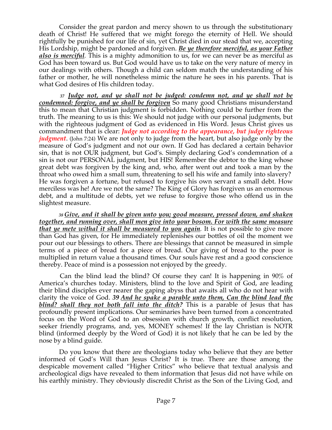Consider the great pardon and mercy shown to us through the substitutionary death of Christ! He suffered that we might forego the eternity of Hell. We should rightfully be punished for our life of sin, yet Christ died in our stead that we, accepting His Lordship, might be pardoned and forgiven. *Be ye therefore merciful, as your Father also is merciful.* This is a mighty admonition to us, for we can never be as merciful as God has been toward us. But God would have us to take on the very nature of mercy in our dealings with others. Though a child can seldom match the understanding of his father or mother, he will nonetheless mimic the nature he sees in his parents. That is what God desires of His children today.

 *<sup>37</sup> Judge not, and ye shall not be judged: condemn not, and ye shall not be condemned: forgive, and ye shall be forgiven* So many good Christians misunderstand this to mean that Christian judgment is forbidden. Nothing could be further from the truth. The meaning to us is this: We should not judge with our personal judgments, but with the righteous judgment of God as evidenced in His Word. Jesus Christ gives us commandment that is clear: *Judge not according to the appearance, but judge righteous judgment*. (John 7:24) We are not only to judge from the heart, but also judge only by the measure of God's judgment and not our own. If God has declared a certain behavior sin, that is not OUR judgment, but God's. Simply declaring God's condemnation of a sin is not our PERSONAL judgment, but HIS! Remember the debtor to the king whose great debt was forgiven by the king and, who, after went out and took a man by the throat who owed him a small sum, threatening to sell his wife and family into slavery? He was forgiven a fortune, but refused to forgive his own servant a small debt. How merciless was he! Are we not the same? The King of Glory has forgiven us an enormous debt, and a multitude of debts, yet we refuse to forgive those who offend us in the slightest measure.

 *<sup>38</sup> Give, and it shall be given unto you; good measure, pressed down, and shaken together, and running over, shall men give into your bosom. For with the same measure that ye mete withal it shall be measured to you again.* It is not possible to give more than God has given, for He immediately replenishes our bottles of oil the moment we pour out our blessings to others. There are blessings that cannot be measured in simple terms of a piece of bread for a piece of bread. Our giving of bread to the poor is multiplied in return value a thousand times. Our souls have rest and a good conscience thereby. Peace of mind is a possession not enjoyed by the greedy.

 Can the blind lead the blind? Of course they can! It is happening in 90% of America's churches today. Ministers, blind to the love and Spirit of God, are leading their blind disciples ever nearer the gaping abyss that awaits all who do not hear with clarity the voice of God. *39 And he spake a parable unto them, Can the blind lead the blind? shall they not both fall into the ditch?* This is a parable of Jesus that has profoundly present implications. Our seminaries have been turned from a concentrated focus on the Word of God to an obsession with church growth, conflict resolution, seeker friendly programs, and, yes, MONEY schemes! If the lay Christian is NOTR blind (informed deeply by the Word of God) it is not likely that he can be led by the nose by a blind guide.

 Do you know that there are theologians today who believe that they are better informed of God's Will than Jesus Christ? It is true. There are those among the despicable movement called "Higher Critics" who believe that textual analysis and archeological digs have revealed to them information that Jesus did not have while on his earthly ministry. They obviously discredit Christ as the Son of the Living God, and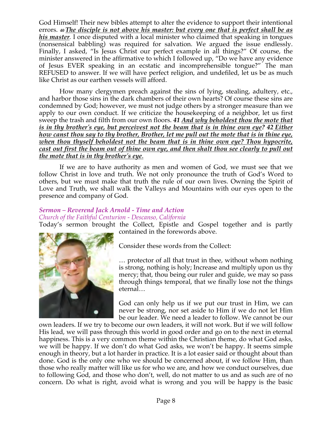God Himself! Their new bibles attempt to alter the evidence to support their intentional errors. *<sup>40</sup> The disciple is not above his master: but every one that is perfect shall be as his master.* I once disputed with a local minister who claimed that speaking in tongues (nonsensical babbling) was required for salvation. We argued the issue endlessly. Finally, I asked, "Is Jesus Christ our perfect example in all things?" Of course, the minister answered in the affirmative to which I followed up, "Do we have any evidence of Jesus EVER speaking in an ecstatic and incomprehensible tongue?" The man REFUSED to answer. If we will have perfect religion, and undefiled, let us be as much like Christ as our earthen vessels will afford.

 How many clergymen preach against the sins of lying, stealing, adultery, etc., and harbor those sins in the dark chambers of their own hearts? Of course these sins are condemned by God; however, we must not judge others by a stronger measure than we apply to our own conduct. If we criticize the housekeeping of a neighbor, let us first sweep the trash and filth from our own floors. *41 And why beholdest thou the mote that is in thy brother's eye, but perceivest not the beam that is in thine own eye?* 42 *Either how canst thou say to thy brother, Brother, let me pull out the mote that is in thine eye, when thou thyself beholdest not the beam that is in thine own eye? Thou hypocrite, cast out first the beam out of thine own eye, and then shalt thou see clearly to pull out the mote that is in thy brother's eye*.

 If we are to have authority as men and women of God, we must see that we follow Christ in love and truth. We not only pronounce the truth of God's Word to others, but we must make that truth the rule of our own lives. Owning the Spirit of Love and Truth, we shall walk the Valleys and Mountains with our eyes open to the presence and company of God.

#### *Sermon – Reverend Jack Arnold - Time and Action Church of the Faithful Centurion - Descanso, California*

Today's sermon brought the Collect, Epistle and Gospel together and is partly contained in the forewords above.



Consider these words from the Collect:

… protector of all that trust in thee, without whom nothing is strong, nothing is holy; Increase and multiply upon us thy mercy; that, thou being our ruler and guide, we may so pass through things temporal, that we finally lose not the things eternal…

God can only help us if we put our trust in Him, we can never be strong, nor set aside to Him if we do not let Him be our leader. We need a leader to follow. We cannot be our

own leaders. If we try to become our own leaders, it will not work. But if we will follow His lead, we will pass through this world in good order and go on to the next in eternal happiness. This is a very common theme within the Christian theme, do what God asks, we will be happy. If we don't do what God asks, we won't be happy. It seems simple enough in theory, but a lot harder in practice. It is a lot easier said or thought about than done. God is the only one who we should be concerned about, if we follow Him, than those who really matter will like us for who we are, and how we conduct ourselves, due to following God, and those who don't, well, do not matter to us and as such are of no concern. Do what is right, avoid what is wrong and you will be happy is the basic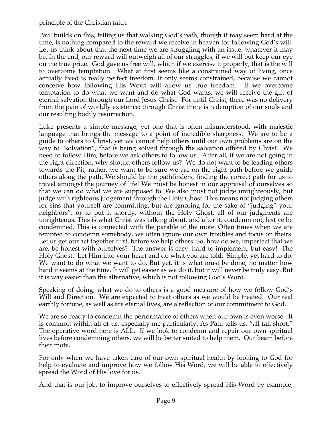principle of the Christian faith.

Paul builds on this, telling us that walking God's path, though it may seem hard at the time, is nothing compared to the reward we receive in heaven for following God's will. Let us think about that the next time we are struggling with an issue, whatever it may be. In the end, our reward will outweigh all of our struggles, if we will but keep our eye on the true prize. God gave us free will, which if we exercise it properly, that is the will to overcome temptation. What at first seems like a constrained way of living, once actually lived is really perfect freedom. It only seems constrained, because we cannot conceive how following His Word will allow us true freedom. If we overcome temptation to do what we want and do what God wants, we will receive the gift of eternal salvation through our Lord Jesus Christ. For until Christ, there was no delivery from the pain of worldly existence; through Christ there is redemption of our souls and our resulting bodily resurrection.

Luke presents a simple message, yet one that is often misunderstood, with majestic language that brings the message to a point of incredible sharpness. We are to be a guide to others to Christ, yet we cannot help others until our own problems are on the way to "solvation", that is being solved through the salvation offered by Christ. We need to follow Him, before we ask others to follow us. After all, if we are not going in the right direction, why should others follow us? We do not want to be leading others towards the Pit, rather, we want to be sure we are on the right path before we guide others along the path. We should be the pathfinders, finding the correct path for us to travel amongst the journey of life! We must be honest in our appraisal of ourselves so that we can do what we are supposed to. We also must not judge unrighteously, but judge with righteous judgement through the Holy Ghost. This means not judging others for sins that yourself are committing, but are ignoring for the sake of "judging" your neighbors", or to put it shortly, without the Holy Ghost, all of our judgments are unrighteous. This is what Christ was talking about, and after it, condemn not, lest ye be condemned. This is connected with the parable of the mote. Often times when we are tempted to condemn somebody, we often ignore our own troubles and focus on theirs. Let us get our act together first, before we help others. So, how do we, imperfect that we are, be honest with ourselves? The answer is easy, hard to implement, but easy! The Holy Ghost. Let Him into your heart and do what you are told. Simple, yet hard to do. We want to do what we want to do. But yet, it is what must be done, no matter how hard it seems at the time. It will get easier as we do it, but it will never be truly easy. But it is way easier than the alternative, which is not following God's Word.

Speaking of doing, what we do to others is a good measure of how we follow God's Will and Direction. We are expected to treat others as we would be treated. Our real earthly fortune, as well as are eternal lives, are a reflection of our commitment to God.

We are so ready to condemn the performance of others when our own is even worse. It is common within all of us, especially me particularly. As Paul tells us, "all fall short." The operative word here is ALL. If we look to condemn and repair our own spiritual lives before condemning others, we will be better suited to help them. Our beam before their mote.

For only when we have taken care of our own spiritual health by looking to God for help to evaluate and improve how we follow His Word, we will be able to effectively spread the Word of His love for us.

And that is our job, to improve ourselves to effectively spread His Word by example;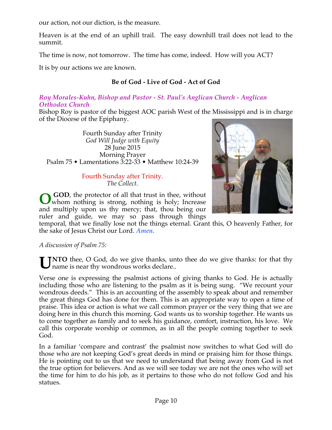our action, not our diction, is the measure.

Heaven is at the end of an uphill trail. The easy downhill trail does not lead to the summit.

The time is now, not tomorrow. The time has come, indeed. How will you ACT?

It is by our actions we are known.

# **Be of God - Live of God - Act of God**

### *Roy Morales-Kuhn, Bishop and Pastor - St. Paul's Anglican Church - Anglican Orthodox Church*

Bishop Roy is pastor of the biggest AOC parish West of the Mississippi and is in charge of the Diocese of the Epiphany.

Fourth Sunday after Trinity *God Will Judge with Equity* 28 June 2015 Morning Prayer Psalm 75 • Lamentations 3:22-33 • Matthew 10:24-39

> Fourth Sunday after Trinity. *The Collect.*

 **GOD**, the protector of all that trust in thee, without whom nothing is strong, nothing is holy; Increase **O** and multiply upon us thy mercy; that, thou being our ruler and guide, we may so pass through things

temporal, that we finally lose not the things eternal. Grant this, O heavenly Father, for the sake of Jesus Christ our Lord. *Amen.*

*A discussion of Psalm 75:*

UNTO thee, O God, do we give thanks, unto thee do we give thanks: for that thy name is near thy wondrous works declare.. I name is near thy wondrous works declare..

Verse one is expressing the psalmist actions of giving thanks to God. He is actually including those who are listening to the psalm as it is being sung. "We recount your wondrous deeds." This is an accounting of the assembly to speak about and remember the great things God has done for them. This is an appropriate way to open a time of praise. This idea or action is what we call common prayer or the very thing that we are doing here in this church this morning. God wants us to worship together. He wants us to come together as family and to seek his guidance, comfort, instruction, his love. We call this corporate worship or common, as in all the people coming together to seek God.

In a familiar 'compare and contrast' the psalmist now switches to what God will do those who are not keeping God's great deeds in mind or praising him for those things. He is pointing out to us that we need to understand that being away from God is not the true option for believers. And as we will see today we are not the ones who will set the time for him to do his job, as it pertains to those who do not follow God and his statues.

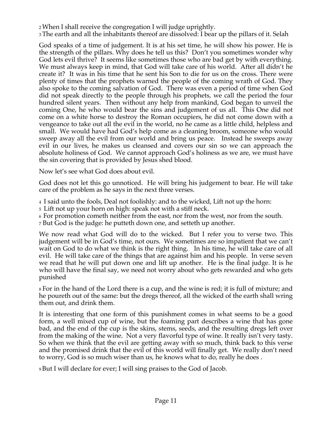2 When I shall receive the congregation I will judge uprightly.

3 The earth and all the inhabitants thereof are dissolved: I bear up the pillars of it. Selah

God speaks of a time of judgement. It is at his set time, he will show his power. He is the strength of the pillars. Why does he tell us this? Don't you sometimes wonder why God lets evil thrive? It seems like sometimes those who are bad get by with everything. We must always keep in mind, that God will take care of his world. After all didn't he create it? It was in his time that he sent his Son to die for us on the cross. There were plenty of times that the prophets warned the people of the coming wrath of God. They also spoke to the coming salvation of God. There was even a period of time when God did not speak directly to the people through his prophets, we call the period the four hundred silent years. Then without any help from mankind, God began to unveil the coming One, he who would bear the sins and judgement of us all. This One did not come on a white horse to destroy the Roman occupiers, he did not come down with a vengeance to take out all the evil in the world, no he came as a little child, helpless and small. We would have had God's help come as a cleaning broom, someone who would sweep away all the evil from our world and bring us peace. Instead he sweeps away evil in our lives, he makes us cleansed and covers our sin so we can approach the absolute holiness of God. We cannot approach God's holiness as we are, we must have the sin covering that is provided by Jesus shed blood.

Now let's see what God does about evil.

God does not let this go unnoticed. He will bring his judgement to bear. He will take care of the problem as he says in the next three verses.

4 I said unto the fools, Deal not foolishly: and to the wicked, Lift not up the horn:

5 Lift not up your horn on high: speak not with a stiff neck.

6 For promotion cometh neither from the east, nor from the west, nor from the south.

7 But God is the judge: he putteth down one, and setteth up another.

We now read what God will do to the wicked. But I refer you to verse two. This judgement will be in God's time, not ours. We sometimes are so impatient that we can't wait on God to do what we think is the right thing. In his time, he will take care of all evil. He will take care of the things that are against him and his people. In verse seven we read that he will put down one and lift up another. He is the final judge. It is he who will have the final say, we need not worry about who gets rewarded and who gets punished

8 For in the hand of the Lord there is a cup, and the wine is red; it is full of mixture; and he poureth out of the same: but the dregs thereof, all the wicked of the earth shall wring them out, and drink them.

It is interesting that one form of this punishment comes in what seems to be a good form, a well mixed cup of wine, but the foaming part describes a wine that has gone bad, and the end of the cup is the skins, stems, seeds, and the resulting dregs left over from the making of the wine. Not a very flavorful type of wine. It really isn't very tasty. So when we think that the evil are getting away with so much, think back to this verse and the promised drink that the evil of this world will finally get. We really don't need to worry, God is so much wiser than us, he knows what to do, really he does .

9 But I will declare for ever; I will sing praises to the God of Jacob.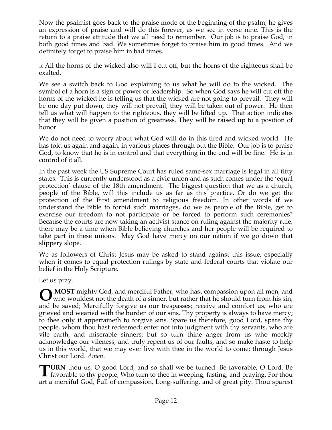Now the psalmist goes back to the praise mode of the beginning of the psalm, he gives an expression of praise and will do this forever, as we see in verse nine. This is the return to a praise attitude that we all need to remember. Our job is to praise God, in both good times and bad. We sometimes forget to praise him in good times. And we definitely forget to praise him in bad times.

10 All the horns of the wicked also will I cut off; but the horns of the righteous shall be exalted.

We see a switch back to God explaining to us what he will do to the wicked. The symbol of a horn is a sign of power or leadership. So when God says he will cut off the horns of the wicked he is telling us that the wicked are not going to prevail. They will be one day put down, they will not prevail, they will be taken out of power. He then tell us what will happen to the righteous, they will be lifted up. That action indicates that they will be given a position of greatness. They will be raised up to a position of honor.

We do not need to worry about what God will do in this tired and wicked world. He has told us again and again, in various places through out the Bible. Our job is to praise God, to know that he is in control and that everything in the end will be fine. He is in control of it all.

In the past week the US Supreme Court has ruled same-sex marriage is legal in all fifty states. This is currently understood as a civic union and as such comes under the 'equal protection' clause of the 18th amendment. The biggest question that we as a church, people of the Bible, will this include us as far as this practice. Or do we get the protection of the First amendment to religious freedom. In other words if we understand the Bible to forbid such marriages, do we as people of the Bible, get to exercise our freedom to not participate or be forced to perform such ceremonies? Because the courts are now taking an activist stance on ruling against the majority rule, there may be a time when Bible believing churches and her people will be required to take part in these unions. May God have mercy on our nation if we go down that slippery slope.

We as followers of Christ Jesus may be asked to stand against this issue, especially when it comes to equal protection rulings by state and federal courts that violate our belief in the Holy Scripture.

Let us pray.

**MOST** mighty God, and merciful Father, who hast compassion upon all men, and **O** MOST mighty God, and merciful Father, who hast compassion upon all men, and who wouldest not the death of a sinner, but rather that he should turn from his sin, and be saved; Mercifully forgive us our trespasses; receive and comfort us, who are grieved and wearied with the burden of our sins. Thy property is always to have mercy; to thee only it appertaineth to forgive sins. Spare us therefore, good Lord, spare thy people, whom thou hast redeemed; enter not into judgment with thy servants, who are vile earth, and miserable sinners; but so turn thine anger from us who meekly acknowledge our vileness, and truly repent us of our faults, and so make haste to help us in this world, that we may ever live with thee in the world to come; through Jesus Christ our Lord. *Amen*.

**URN** thou us, O good Lord, and so shall we be turned. Be favorable, O Lord. Be **favorable to thy people, Who turn to thee in weeping, fasting, and praying. For thou and praying. For thou and praying. For thou and praying. For thou** art a merciful God, Full of compassion, Long-suffering, and of great pity. Thou sparest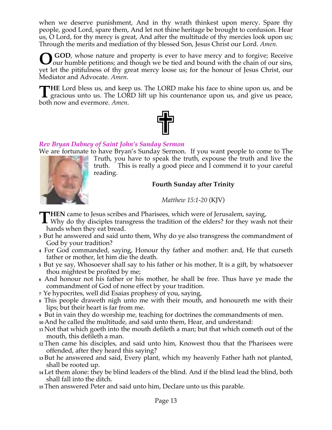when we deserve punishment, And in thy wrath thinkest upon mercy. Spare thy people, good Lord, spare them, And let not thine heritage be brought to confusion. Hear us, O Lord, for thy mercy is great, And after the multitude of thy mercies look upon us; Through the merits and mediation of thy blessed Son, Jesus Christ our Lord. *Amen*.

**O** GOD, whose nature and property is ever to have mercy and to forgive; Receive our humble petitions; and though we be tied and bound with the chain of our sins, Jour humble petitions; and though we be tied and bound with the chain of our sins, yet let the pitifulness of thy great mercy loose us; for the honour of Jesus Christ, our Mediator and Advocate. *Amen*.

**HE** Lord bless us, and keep us. The LORD make his face to shine upon us, and be THE Lord bless us, and keep us. The LORD make his face to shine upon us, and be gracious unto us. The LORD lift up his countenance upon us, and give us peace, both now and evermore. *Amen*.



# *Rev Bryan Dabney of Saint John's Sunday Sermon*

We are fortunate to have Bryan's Sunday Sermon. If you want people to come to The



Truth, you have to speak the truth, expouse the truth and live the truth. This is really a good piece and I commend it to your careful reading.

### **Fourth Sunday after Trinity**

*Matthew 15:1-20* (KJV)

**HEN** came to Jesus scribes and Pharisees, which were of Jerusalem, saying,

- **THEN** came to Jesus scribes and Pharisees, which were of Jerusalem, saying,<br>Why do thy disciples transgress the tradition of the elders? for they wash not their<br>heads when the initial tends of the elders and their hands when they eat bread.
- **<sup>3</sup>** But he answered and said unto them, Why do ye also transgress the commandment of God by your tradition?
- **<sup>4</sup>** For God commanded, saying, Honour thy father and mother: and, He that curseth father or mother, let him die the death.
- **<sup>5</sup>** But ye say, Whosoever shall say to his father or his mother, It is a gift, by whatsoever thou mightest be profited by me;
- **<sup>6</sup>** And honour not his father or his mother, he shall be free. Thus have ye made the commandment of God of none effect by your tradition.
- **<sup>7</sup>** Ye hypocrites, well did Esaias prophesy of you, saying,
- **<sup>8</sup>** This people draweth nigh unto me with their mouth, and honoureth me with their lips; but their heart is far from me.
- **<sup>9</sup>**But in vain they do worship me, teaching for doctrines the commandments of men.
- **<sup>10</sup>** And he called the multitude, and said unto them, Hear, and understand:
- **<sup>11</sup>** Not that which goeth into the mouth defileth a man; but that which cometh out of the mouth, this defileth a man.
- **<sup>12</sup>** Then came his disciples, and said unto him, Knowest thou that the Pharisees were offended, after they heard this saying?
- **<sup>13</sup>** But he answered and said, Every plant, which my heavenly Father hath not planted, shall be rooted up.
- **<sup>14</sup>** Let them alone: they be blind leaders of the blind. And if the blind lead the blind, both shall fall into the ditch.
- **<sup>15</sup>** Then answered Peter and said unto him, Declare unto us this parable.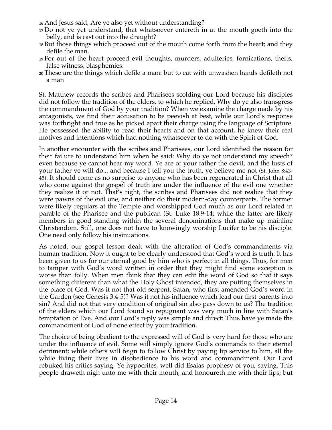- **<sup>16</sup>** And Jesus said, Are ye also yet without understanding?
- **<sup>17</sup>** Do not ye yet understand, that whatsoever entereth in at the mouth goeth into the belly, and is cast out into the draught?
- **<sup>18</sup>** But those things which proceed out of the mouth come forth from the heart; and they defile the man.
- **<sup>19</sup>** For out of the heart proceed evil thoughts, murders, adulteries, fornications, thefts, false witness, blasphemies:
- **<sup>20</sup>** These are the things which defile a man: but to eat with unwashen hands defileth not a man

St. Matthew records the scribes and Pharisees scolding our Lord because his disciples did not follow the tradition of the elders, to which he replied, Why do ye also transgress the commandment of God by your tradition? When we examine the charge made by his antagonists, we find their accusation to be peevish at best, while our Lord's response was forthright and true as he picked apart their charge using the language of Scripture. He possessed the ability to read their hearts and on that account, he knew their real motives and intentions which had nothing whatsoever to do with the Spirit of God.

In another encounter with the scribes and Pharisees, our Lord identified the reason for their failure to understand him when he said: Why do ye not understand my speech? even because ye cannot hear my word. Ye are of your father the devil, and the lusts of your father ye will do... and because I tell you the truth, ye believe me not (St. John 8:43- 45). It should come as no surprise to anyone who has been regenerated in Christ that all who come against the gospel of truth are under the influence of the evil one whether they realize it or not. That's right, the scribes and Pharisees did not realize that they were pawns of the evil one, and neither do their modern-day counterparts. The former were likely regulars at the Temple and worshipped God much as our Lord related in parable of the Pharisee and the publican (St. Luke 18:9-14; while the latter are likely members in good standing within the several denominations that make up mainline Christendom. Still, one does not have to knowingly worship Lucifer to be his disciple. One need only follow his insinuations.

As noted, our gospel lesson dealt with the alteration of God's commandments via human tradition. Now it ought to be clearly understood that God's word is truth. It has been given to us for our eternal good by him who is perfect in all things. Thus, for men to tamper with God's word written in order that they might find some exception is worse than folly. When men think that they can edit the word of God so that it says something different than what the Holy Ghost intended, they are putting themselves in the place of God. Was it not that old serpent, Satan, who first amended God's word in the Garden (see Genesis 3:4-5)? Was it not his influence which lead our first parents into sin? And did not that very condition of original sin also pass down to us? The tradition of the elders which our Lord found so repugnant was very much in line with Satan's temptation of Eve. And our Lord's reply was simple and direct: Thus have ye made the commandment of God of none effect by your tradition.

The choice of being obedient to the expressed will of God is very hard for those who are under the influence of evil. Some will simply ignore God's commands to their eternal detriment; while others will feign to follow Christ by paying lip service to him, all the while living their lives in disobedience to his word and commandment. Our Lord rebuked his critics saying, Ye hypocrites, well did Esaias prophesy of you, saying, This people draweth nigh unto me with their mouth, and honoureth me with their lips; but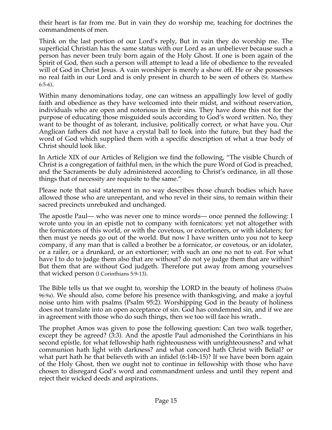their heart is far from me. But in vain they do worship me, teaching for doctrines the commandments of men.

Think on the last portion of our Lord's reply, But in vain they do worship me. The superficial Christian has the same status with our Lord as an unbeliever because such a person has never been truly born again of the Holy Ghost. If one is born again of the Spirit of God, then such a person will attempt to lead a life of obedience to the revealed will of God in Christ Jesus. A vain worshiper is merely a show off. He or she possesses no real faith in our Lord and is only present in church to be seen of others (St. Matthew 6:5-6).

Within many denominations today, one can witness an appallingly low level of godly faith and obedience as they have welcomed into their midst, and without reservation, individuals who are open and notorious in their sins. They have done this not for the purpose of educating those misguided souls according to God's word written. No, they want to be thought of as tolerant, inclusive, politically correct, or what have you. Our Anglican fathers did not have a crystal ball to look into the future, but they had the word of God which supplied them with a specific description of what a true body of Christ should look like.

In Article XIX of our Articles of Religion we find the following, "The visible Church of Christ is a congregation of faithful men, in the which the pure Word of God is preached, and the Sacraments be duly administered according to Christ's ordinance, in all those things that of necessity are requisite to the same."

Please note that said statement in no way describes those church bodies which have allowed those who are unrepentant, and who revel in their sins, to remain within their sacred precincts unrebuked and unchanged.

The apostle Paul— who was never one to mince words— once penned the following: I wrote unto you in an epistle not to company with fornicators: yet not altogether with the fornicators of this world, or with the covetous, or extortioners, or with idolaters; for then must ye needs go out of the world. But now I have written unto you not to keep company, if any man that is called a brother be a fornicator, or covetous, or an idolater, or a railer, or a drunkard, or an extortioner; with such an one no not to eat. For what have I to do to judge them also that are without? do not ye judge them that are within? But them that are without God judgeth. Therefore put away from among yourselves that wicked person (I Corinthians 5:9-13).

The Bible tells us that we ought to, worship the LORD in the beauty of holiness (Psalm 96:9a). We should also, come before his presence with thanksgiving, and make a joyful noise unto him with psalms (Psalm 95:2). Worshipping God in the beauty of holiness does not translate into an open acceptance of sin. God has condemned sin, and if we are in agreement with those who do such things, then we too will face his wrath..

The prophet Amos was given to pose the following question: Can two walk together, except they be agreed? (3:3). And the apostle Paul admonished the Corinthians in his second epistle, for what fellowship hath righteousness with unrighteousness? and what communion hath light with darkness? and what concord hath Christ with Belial? or what part hath he that believeth with an infidel (6:14b-15)? If we have been born again of the Holy Ghost, then we ought not to continue in fellowship with those who have chosen to disregard God's word and commandment unless and until they repent and reject their wicked deeds and aspirations.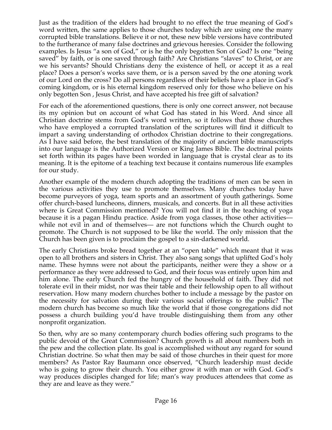Just as the tradition of the elders had brought to no effect the true meaning of God's word written, the same applies to those churches today which are using one the many corrupted bible translations. Believe it or not, these new bible versions have contributed to the furtherance of many false doctrines and grievous heresies. Consider the following examples. Is Jesus "a son of God," or is he the only begotten Son of God? Is one "being saved" by faith, or is one saved through faith? Are Christians "slaves" to Christ, or are we his servants? Should Christians deny the existence of hell, or accept it as a real place? Does a person's works save them, or is a person saved by the one atoning work of our Lord on the cross? Do all persons regardless of their beliefs have a place in God's coming kingdom, or is his eternal kingdom reserved only for those who believe on his only begotten Son , Jesus Christ, and have accepted his free gift of salvation?

For each of the aforementioned questions, there is only one correct answer, not because its my opinion but on account of what God has stated in his Word. And since all Christian doctrine stems from God's word written, so it follows that those churches who have employed a corrupted translation of the scriptures will find it difficult to impart a saving understanding of orthodox Christian doctrine to their congregations. As I have said before, the best translation of the majority of ancient bible manuscripts into our language is the Authorized Version or King James Bible. The doctrinal points set forth within its pages have been worded in language that is crystal clear as to its meaning. It is the epitome of a teaching text because it contains numerous life examples for our study.

Another example of the modern church adopting the traditions of men can be seen in the various activities they use to promote themselves. Many churches today have become purveyors of yoga, team sports and an assortment of youth gatherings. Some offer church-based luncheons, dinners, musicals, and concerts. But in all these activities where is Great Commission mentioned? You will not find it in the teaching of yoga because it is a pagan Hindu practice. Aside from yoga classes, those other activities while not evil in and of themselves— are not functions which the Church ought to promote. The Church is not supposed to be like the world. The only mission that the Church has been given is to proclaim the gospel to a sin-darkened world.

The early Christians broke bread together at an "open table" which meant that it was open to all brothers and sisters in Christ. They also sang songs that uplifted God's holy name. These hymns were not about the participants, neither were they a show or a performance as they were addressed to God, and their focus was entirely upon him and him alone. The early Church fed the hungry of the household of faith. They did not tolerate evil in their midst, nor was their table and their fellowship open to all without reservation. How many modern churches bother to include a message by the pastor on the necessity for salvation during their various social offerings to the public? The modern church has become so much like the world that if those congregations did not possess a church building you'd have trouble distinguishing them from any other nonprofit organization.

So then, why are so many contemporary church bodies offering such programs to the public devoid of the Great Commission? Church growth is all about numbers both in the pew and the collection plate. Its goal is accomplished without any regard for sound Christian doctrine. So what then may be said of those churches in their quest for more members? As Pastor Ray Baumann once observed, "Church leadership must decide who is going to grow their church. You either grow it with man or with God. God's way produces disciples changed for life; man's way produces attendees that come as they are and leave as they were."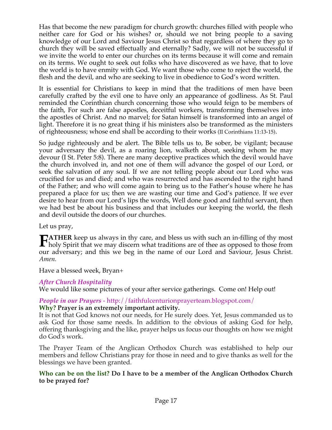Has that become the new paradigm for church growth: churches filled with people who neither care for God or his wishes? or, should we not bring people to a saving knowledge of our Lord and Saviour Jesus Christ so that regardless of where they go to church they will be saved effectually and eternally? Sadly, we will not be successful if we invite the world to enter our churches on its terms because it will come and remain on its terms. We ought to seek out folks who have discovered as we have, that to love the world is to have enmity with God. We want those who come to reject the world, the flesh and the devil, and who are seeking to live in obedience to God's word written.

It is essential for Christians to keep in mind that the traditions of men have been carefully crafted by the evil one to have only an appearance of godliness. As St. Paul reminded the Corinthian church concerning those who would feign to be members of the faith, For such are false apostles, deceitful workers, transforming themselves into the apostles of Christ. And no marvel; for Satan himself is transformed into an angel of light. Therefore it is no great thing if his ministers also be transformed as the ministers of righteousness; whose end shall be according to their works (II Corinthians 11:13-15).

So judge righteously and be alert. The Bible tells us to, Be sober, be vigilant; because your adversary the devil, as a roaring lion, walketh about, seeking whom he may devour (I St. Peter 5:8). There are many deceptive practices which the devil would have the church involved in, and not one of them will advance the gospel of our Lord, or seek the salvation of any soul. If we are not telling people about our Lord who was crucified for us and died; and who was resurrected and has ascended to the right hand of the Father; and who will come again to bring us to the Father's house where he has prepared a place for us; then we are wasting our time and God's patience. If we ever desire to hear from our Lord's lips the words, Well done good and faithful servant, then we had best be about his business and that includes our keeping the world, the flesh and devil outside the doors of our churches.

Let us pray,

**ATHER** keep us always in thy care, and bless us with such an in-filling of thy most **FATHER** keep us always in thy care, and bless us with such an in-filling of thy most holy Spirit that we may discern what traditions are of thee as opposed to those from our adversary; and this we beg in the name of our Lord and Saviour, Jesus Christ. *Amen.* 

Have a blessed week, Bryan+

### *After Church Hospitality*

We would like some pictures of your after service gatherings. Come on! Help out!

#### *People in our Prayers* - http://faithfulcenturionprayerteam.blogspot.com/ **Why? Prayer is an extremely important activity.**

It is not that God knows not our needs, for He surely does. Yet, Jesus commanded us to ask God for those same needs. In addition to the obvious of asking God for help, offering thanksgiving and the like, prayer helps us focus our thoughts on how we might do God's work.

The Prayer Team of the Anglican Orthodox Church was established to help our members and fellow Christians pray for those in need and to give thanks as well for the blessings we have been granted.

### **Who can be on the list? Do I have to be a member of the Anglican Orthodox Church to be prayed for?**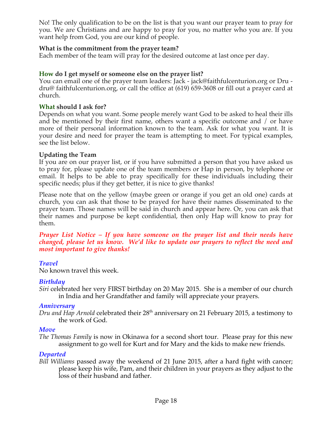No! The only qualification to be on the list is that you want our prayer team to pray for you. We are Christians and are happy to pray for you, no matter who you are. If you want help from God, you are our kind of people.

### **What is the commitment from the prayer team?**

Each member of the team will pray for the desired outcome at last once per day.

### **How do I get myself or someone else on the prayer list?**

You can email one of the prayer team leaders: Jack - jack@faithfulcenturion.org or Dru dru@ faithfulcenturion.org, or call the office at (619) 659-3608 or fill out a prayer card at church.

#### **What should I ask for?**

Depends on what you want. Some people merely want God to be asked to heal their ills and be mentioned by their first name, others want a specific outcome and / or have more of their personal information known to the team. Ask for what you want. It is your desire and need for prayer the team is attempting to meet. For typical examples, see the list below.

### **Updating the Team**

If you are on our prayer list, or if you have submitted a person that you have asked us to pray for, please update one of the team members or Hap in person, by telephone or email. It helps to be able to pray specifically for these individuals including their specific needs; plus if they get better, it is nice to give thanks!

Please note that on the yellow (maybe green or orange if you get an old one) cards at church, you can ask that those to be prayed for have their names disseminated to the prayer team. Those names will be said in church and appear here. Or, you can ask that their names and purpose be kept confidential, then only Hap will know to pray for them.

#### *Prayer List Notice – If you have someone on the prayer list and their needs have changed, please let us know. We'd like to update our prayers to reflect the need and most important to give thanks!*

### *Travel*

No known travel this week.

### *Birthday*

*Siri* celebrated her very FIRST birthday on 20 May 2015. She is a member of our church in India and her Grandfather and family will appreciate your prayers.

#### *Anniversary*

*Dru and Hap Arnold* celebrated their 28th anniversary on 21 February 2015, a testimony to the work of God.

### *Move*

*The Thomas Family* is now in Okinawa for a second short tour. Please pray for this new assignment to go well for Kurt and for Mary and the kids to make new friends.

#### *Departed*

*Bill Williams* passed away the weekend of 21 June 2015, after a hard fight with cancer; please keep his wife, Pam, and their children in your prayers as they adjust to the loss of their husband and father.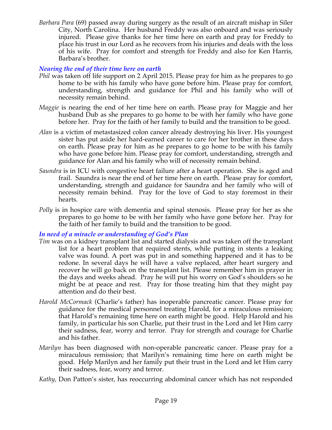*Barbara Para* (69) passed away during surgery as the result of an aircraft mishap in Siler City, North Carolina. Her husband Freddy was also onboard and was seriously injured. Please give thanks for her time here on earth and pray for Freddy to place his trust in our Lord as he recovers from his injuries and deals with the loss of his wife. Pray for comfort and strength for Freddy and also for Ken Harris, Barbara's brother.

## *Nearing the end of their time here on earth*

- *Phil* was taken off life support on 2 April 2015. Please pray for him as he prepares to go home to be with his family who have gone before him. Please pray for comfort, understanding, strength and guidance for Phil and his family who will of necessity remain behind.
- *Maggie* is nearing the end of her time here on earth. Please pray for Maggie and her husband Dub as she prepares to go home to be with her family who have gone before her. Pray for the faith of her family to build and the transition to be good.
- *Alan* is a victim of metastasized colon cancer already destroying his liver. His youngest sister has put aside her hard-earned career to care for her brother in these days on earth. Please pray for him as he prepares to go home to be with his family who have gone before him. Please pray for comfort, understanding, strength and guidance for Alan and his family who will of necessity remain behind.
- *Saundra* is in ICU with congestive heart failure after a heart operation. She is aged and frail. Saundra is near the end of her time here on earth. Please pray for comfort, understanding, strength and guidance for Saundra and her family who will of necessity remain behind. Pray for the love of God to stay foremost in their hearts.
- *Polly* is in hospice care with dementia and spinal stenosis. Please pray for her as she prepares to go home to be with her family who have gone before her. Pray for the faith of her family to build and the transition to be good.

### *In need of a miracle or understanding of God's Plan*

- *Tim* was on a kidney transplant list and started dialysis and was taken off the transplant list for a heart problem that required stents, while putting in stents a leaking valve was found. A port was put in and something happened and it has to be redone. In several days he will have a valve replaced, after heart surgery and recover he will go back on the transplant list. Please remember him in prayer in the days and weeks ahead. Pray he will put his worry on God's shoulders so he might be at peace and rest. Pray for those treating him that they might pay attention and do their best.
- *Harold McCormack* (Charlie's father) has inoperable pancreatic cancer. Please pray for guidance for the medical personnel treating Harold, for a miraculous remission; that Harold's remaining time here on earth might be good. Help Harold and his family, in particular his son Charlie, put their trust in the Lord and let Him carry their sadness, fear, worry and terror. Pray for strength and courage for Charlie and his father.
- *Marilyn* has been diagnosed with non-operable pancreatic cancer. Please pray for a miraculous remission; that Marilyn's remaining time here on earth might be good. Help Marilyn and her family put their trust in the Lord and let Him carry their sadness, fear, worry and terror.
- *Kathy,* Don Patton's sister, has reoccurring abdominal cancer which has not responded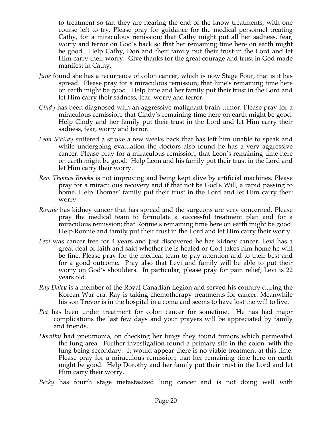to treatment so far, they are nearing the end of the know treatments, with one course left to try. Please pray for guidance for the medical personnel treating Cathy, for a miraculous remission; that Cathy might put all her sadness, fear, worry and terror on God's back so that her remaining time here on earth might be good. Help Cathy, Don and their family put their trust in the Lord and let Him carry their worry. Give thanks for the great courage and trust in God made manifest in Cathy.

- *June* found she has a recurrence of colon cancer, which is now Stage Four, that is it has spread. Please pray for a miraculous remission; that June's remaining time here on earth might be good. Help June and her family put their trust in the Lord and let Him carry their sadness, fear, worry and terror.
- *Cindy* has been diagnosed with an aggressive malignant brain tumor. Please pray for a miraculous remission; that Cindy's remaining time here on earth might be good. Help Cindy and her family put their trust in the Lord and let Him carry their sadness, fear, worry and terror.
- *Leon McKay* suffered a stroke a few weeks back that has left him unable to speak and while undergoing evaluation the doctors also found he has a very aggressive cancer. Please pray for a miraculous remission; that Leon's remaining time here on earth might be good. Help Leon and his family put their trust in the Lord and let Him carry their worry.
- *Rev. Thomas Brooks* is not improving and being kept alive by artificial machines. Please pray for a miraculous recovery and if that not be God's Will, a rapid passing to home. Help Thomas' family put their trust in the Lord and let Him carry their worry
- *Ronnie* has kidney cancer that has spread and the surgeons are very concerned. Please pray the medical team to formulate a successful treatment plan and for a miraculous remission; that Ronnie's remaining time here on earth might be good. Help Ronnie and family put their trust in the Lord and let Him carry their worry.
- *Levi* was cancer free for 4 years and just discovered he has kidney cancer. Levi has a great deal of faith and said whether he is healed or God takes him home he will be fine. Please pray for the medical team to pay attention and to their best and for a good outcome. Pray also that Levi and family will be able to put their worry on God's shoulders. In particular, please pray for pain relief; Levi is 22 years old.
- *Ray Daley* is a member of the Royal Canadian Legion and served his country during the Korean War era. Ray is taking chemotherapy treatments for cancer. Meanwhile his son Trevor is in the hospital in a coma and seems to have lost the will to live.
- *Pat* has been under treatment for colon cancer for sometime. He has had major complications the last few days and your prayers will be appreciated by family and friends.
- *Dorothy* had pneumonia, on checking her lungs they found tumors which permeated the lung area. Further investigation found a primary site in the colon, with the lung being secondary. It would appear there is no viable treatment at this time. Please pray for a miraculous remission; that her remaining time here on earth might be good. Help Dorothy and her family put their trust in the Lord and let Him carry their worry.
- *Becky* has fourth stage metastasized lung cancer and is not doing well with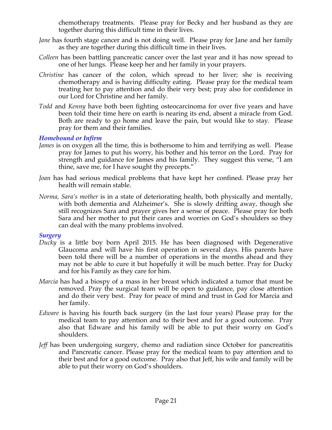chemotherapy treatments. Please pray for Becky and her husband as they are together during this difficult time in their lives.

- *Jane* has fourth stage cancer and is not doing well. Please pray for Jane and her family as they are together during this difficult time in their lives.
- *Colleen* has been battling pancreatic cancer over the last year and it has now spread to one of her lungs. Please keep her and her family in your prayers.
- *Christine* has cancer of the colon, which spread to her liver; she is receiving chemotherapy and is having difficulty eating. Please pray for the medical team treating her to pay attention and do their very best; pray also for confidence in our Lord for Christine and her family.
- *Todd* and *Kenny* have both been fighting osteocarcinoma for over five years and have been told their time here on earth is nearing its end, absent a miracle from God. Both are ready to go home and leave the pain, but would like to stay. Please pray for them and their families.

### *Homebound or Infirm*

- *James* is on oxygen all the time, this is bothersome to him and terrifying as well. Please pray for James to put his worry, his bother and his terror on the Lord. Pray for strength and guidance for James and his family. They suggest this verse, "I am thine, save me, for I have sought thy precepts."
- *Joan* has had serious medical problems that have kept her confined. Please pray her health will remain stable.
- *Norma, Sara's mother* is in a state of deteriorating health, both physically and mentally, with both dementia and Alzheimer's. She is slowly drifting away, though she still recognizes Sara and prayer gives her a sense of peace. Please pray for both Sara and her mother to put their cares and worries on God's shoulders so they can deal with the many problems involved.

#### *Surgery*

- *Ducky* is a little boy born April 2015. He has been diagnosed with Degenerative Glaucoma and will have his first operation in several days. His parents have been told there will be a number of operations in the months ahead and they may not be able to cure it but hopefully it will be much better. Pray for Ducky and for his Family as they care for him.
- *Marcia* has had a biospy of a mass in her breast which indicated a tumor that must be removed. Pray the surgical team will be open to guidance, pay close attention and do their very best. Pray for peace of mind and trust in God for Marcia and her family.
- *Edware* is having his fourth back surgery (in the last four years) Please pray for the medical team to pay attention and to their best and for a good outcome. Pray also that Edware and his family will be able to put their worry on God's shoulders.
- *Jeff* has been undergoing surgery, chemo and radiation since October for pancreatitis and Pancreatic cancer. Please pray for the medical team to pay attention and to their best and for a good outcome. Pray also that Jeff, his wife and family will be able to put their worry on God's shoulders.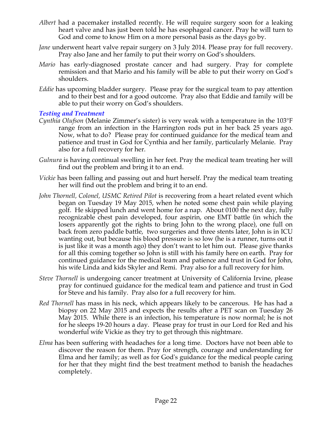- *Albert* had a pacemaker installed recently. He will require surgery soon for a leaking heart valve and has just been told he has esophageal cancer. Pray he will turn to God and come to know Him on a more personal basis as the days go by.
- *Jane* underwent heart valve repair surgery on 3 July 2014. Please pray for full recovery. Pray also Jane and her family to put their worry on God's shoulders.
- *Mario* has early-diagnosed prostate cancer and had surgery. Pray for complete remission and that Mario and his family will be able to put their worry on God's shoulders.
- *Eddie* has upcoming bladder surgery. Please pray for the surgical team to pay attention and to their best and for a good outcome. Pray also that Eddie and family will be able to put their worry on God's shoulders.

### *Testing and Treatment*

- *Cynthia Olufson* (Melanie Zimmer's sister) is very weak with a temperature in the 103°F range from an infection in the Harrington rods put in her back 25 years ago. Now, what to do? Please pray for continued guidance for the medical team and patience and trust in God for Cynthia and her family, particularly Melanie. Pray also for a full recovery for her.
- *Gulnura* is having continual swelling in her feet. Pray the medical team treating her will find out the problem and bring it to an end.
- *Vickie* has been falling and passing out and hurt herself. Pray the medical team treating her will find out the problem and bring it to an end.
- *John Thornell, Colonel, USMC Retired Pilot* is recovering from a heart related event which began on Tuesday 19 May 2015, when he noted some chest pain while playing golf. He skipped lunch and went home for a nap. About 0100 the next day, fully recognizable chest pain developed, four aspirin, one EMT battle (in which the losers apparently got the rights to bring John to the wrong place), one full on back from zero paddle battle, two surgeries and three stents later, John is in ICU wanting out, but because his blood pressure is so low (he is a runner, turns out it is just like it was a month ago) they don't want to let him out. Please give thanks for all this coming together so John is still with his family here on earth. Pray for continued guidance for the medical team and patience and trust in God for John, his wife Linda and kids Skyler and Remi. Pray also for a full recovery for him.
- *Steve Thornell* is undergoing cancer treatment at University of California Irvine, please pray for continued guidance for the medical team and patience and trust in God for Steve and his family. Pray also for a full recovery for him.
- *Red Thornell* has mass in his neck, which appears likely to be cancerous. He has had a biopsy on 22 May 2015 and expects the results after a PET scan on Tuesday 26 May 2015. While there is an infection, his temperature is now normal; he is not for he sleeps 19-20 hours a day. Please pray for trust in our Lord for Red and his wonderful wife Vickie as they try to get through this nightmare.
- *Elma* has been suffering with headaches for a long time. Doctors have not been able to discover the reason for them. Pray for strength, courage and understanding for Elma and her family; as well as for God's guidance for the medical people caring for her that they might find the best treatment method to banish the headaches completely.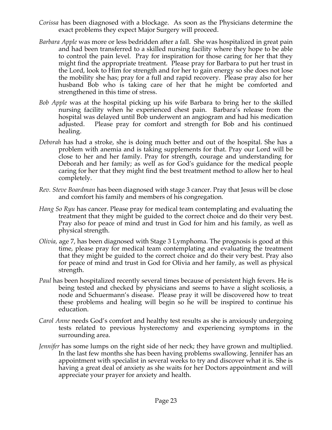- *Corissa* has been diagnosed with a blockage. As soon as the Physicians determine the exact problems they expect Major Surgery will proceed.
- *Barbara Apple* was more or less bedridden after a fall. She was hospitalized in great pain and had been transferred to a skilled nursing facility where they hope to be able to control the pain level. Pray for inspiration for those caring for her that they might find the appropriate treatment. Please pray for Barbara to put her trust in the Lord, look to Him for strength and for her to gain energy so she does not lose the mobility she has; pray for a full and rapid recovery. Please pray also for her husband Bob who is taking care of her that he might be comforted and strengthened in this time of stress.
- *Bob Apple* was at the hospital picking up his wife Barbara to bring her to the skilled nursing facility when he experienced chest pain. Barbara's release from the hospital was delayed until Bob underwent an angiogram and had his medication adjusted. Please pray for comfort and strength for Bob and his continued healing.
- *Deborah* has had a stroke, she is doing much better and out of the hospital. She has a problem with anemia and is taking supplements for that. Pray our Lord will be close to her and her family. Pray for strength, courage and understanding for Deborah and her family; as well as for God's guidance for the medical people caring for her that they might find the best treatment method to allow her to heal completely.
- *Rev. Steve Boardman* has been diagnosed with stage 3 cancer. Pray that Jesus will be close and comfort his family and members of his congregation*.*
- *Hang So Ryu* has cancer. Please pray for medical team contemplating and evaluating the treatment that they might be guided to the correct choice and do their very best. Pray also for peace of mind and trust in God for him and his family, as well as physical strength.
- *Olivia,* age 7, has been diagnosed with Stage 3 Lymphoma. The prognosis is good at this time, please pray for medical team contemplating and evaluating the treatment that they might be guided to the correct choice and do their very best. Pray also for peace of mind and trust in God for Olivia and her family, as well as physical strength.
- *Paul* has been hospitalized recently several times because of persistent high fevers. He is being tested and checked by physicians and seems to have a slight scoliosis, a node and Schuermann's disease. Please pray it will be discovered how to treat these problems and healing will begin so he will be inspired to continue his education.
- *Carol Anne* needs God's comfort and healthy test results as she is anxiously undergoing tests related to previous hysterectomy and experiencing symptoms in the surrounding area.
- *Jennifer* has some lumps on the right side of her neck; they have grown and multiplied. In the last few months she has been having problems swallowing. Jennifer has an appointment with specialist in several weeks to try and discover what it is. She is having a great deal of anxiety as she waits for her Doctors appointment and will appreciate your prayer for anxiety and health.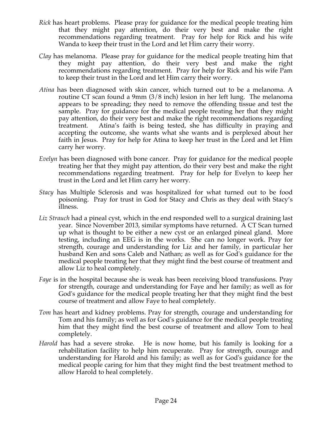- *Rick* has heart problems. Please pray for guidance for the medical people treating him that they might pay attention, do their very best and make the right recommendations regarding treatment. Pray for help for Rick and his wife Wanda to keep their trust in the Lord and let Him carry their worry.
- *Clay* has melanoma. Please pray for guidance for the medical people treating him that they might pay attention, do their very best and make the right recommendations regarding treatment. Pray for help for Rick and his wife Pam to keep their trust in the Lord and let Him carry their worry.
- *Atina* has been diagnosed with skin cancer, which turned out to be a melanoma. A routine CT scan found a 9mm (3/8 inch) lesion in her left lung. The melanoma appears to be spreading; they need to remove the offending tissue and test the sample. Pray for guidance for the medical people treating her that they might pay attention, do their very best and make the right recommendations regarding treatment. Atina's faith is being tested, she has difficulty in praying and accepting the outcome, she wants what she wants and is perplexed about her faith in Jesus. Pray for help for Atina to keep her trust in the Lord and let Him carry her worry.
- *Evelyn* has been diagnosed with bone cancer. Pray for guidance for the medical people treating her that they might pay attention, do their very best and make the right recommendations regarding treatment. Pray for help for Evelyn to keep her trust in the Lord and let Him carry her worry.
- *Stacy* has Multiple Sclerosis and was hospitalized for what turned out to be food poisoning. Pray for trust in God for Stacy and Chris as they deal with Stacy's illness.
- *Liz Strauch* had a pineal cyst, which in the end responded well to a surgical draining last year. Since November 2013, similar symptoms have returned. A CT Scan turned up what is thought to be either a new cyst or an enlarged pineal gland. More testing, including an EEG is in the works. She can no longer work. Pray for strength, courage and understanding for Liz and her family, in particular her husband Ken and sons Caleb and Nathan; as well as for God's guidance for the medical people treating her that they might find the best course of treatment and allow Liz to heal completely.
- *Faye* is in the hospital because she is weak has been receiving blood transfusions. Pray for strength, courage and understanding for Faye and her family; as well as for God's guidance for the medical people treating her that they might find the best course of treatment and allow Faye to heal completely.
- *Tom* has heart and kidney problems. Pray for strength, courage and understanding for Tom and his family; as well as for God's guidance for the medical people treating him that they might find the best course of treatment and allow Tom to heal completely.
- *Harold* has had a severe stroke. He is now home, but his family is looking for a rehabilitation facility to help him recuperate. Pray for strength, courage and understanding for Harold and his family; as well as for God's guidance for the medical people caring for him that they might find the best treatment method to allow Harold to heal completely.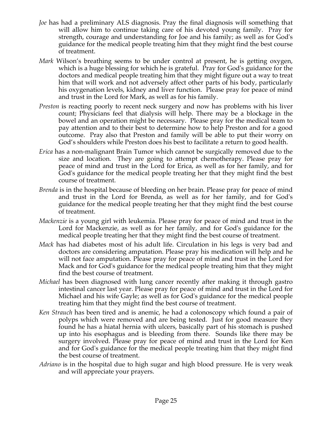- *Joe* has had a preliminary ALS diagnosis. Pray the final diagnosis will something that will allow him to continue taking care of his devoted young family. Pray for strength, courage and understanding for Joe and his family; as well as for God's guidance for the medical people treating him that they might find the best course of treatment.
- *Mark* Wilson's breathing seems to be under control at present, he is getting oxygen, which is a huge blessing for which he is grateful. Pray for God's guidance for the doctors and medical people treating him that they might figure out a way to treat him that will work and not adversely affect other parts of his body, particularly his oxygenation levels, kidney and liver function. Please pray for peace of mind and trust in the Lord for Mark, as well as for his family.
- *Preston* is reacting poorly to recent neck surgery and now has problems with his liver count; Physicians feel that dialysis will help. There may be a blockage in the bowel and an operation might be necessary. Please pray for the medical team to pay attention and to their best to determine how to help Preston and for a good outcome. Pray also that Preston and family will be able to put their worry on God's shoulders while Preston does his best to facilitate a return to good health.
- *Erica* has a non-malignant Brain Tumor which cannot be surgically removed due to the size and location. They are going to attempt chemotherapy. Please pray for peace of mind and trust in the Lord for Erica, as well as for her family, and for God's guidance for the medical people treating her that they might find the best course of treatment.
- *Brenda* is in the hospital because of bleeding on her brain. Please pray for peace of mind and trust in the Lord for Brenda, as well as for her family, and for God's guidance for the medical people treating her that they might find the best course of treatment.
- *Mackenzie* is a young girl with leukemia. Please pray for peace of mind and trust in the Lord for Mackenzie, as well as for her family, and for God's guidance for the medical people treating her that they might find the best course of treatment.
- *Mack* has had diabetes most of his adult life. Circulation in his legs is very bad and doctors are considering amputation. Please pray his medication will help and he will not face amputation. Please pray for peace of mind and trust in the Lord for Mack and for God's guidance for the medical people treating him that they might find the best course of treatment.
- *Michael* has been diagnosed with lung cancer recently after making it through gastro intestinal cancer last year. Please pray for peace of mind and trust in the Lord for Michael and his wife Gayle; as well as for God's guidance for the medical people treating him that they might find the best course of treatment.
- *Ken Strauch* has been tired and is anemic, he had a colonoscopy which found a pair of polyps which were removed and are being tested. Just for good measure they found he has a hiatal hernia with ulcers, basically part of his stomach is pushed up into his esophagus and is bleeding from there. Sounds like there may be surgery involved. Please pray for peace of mind and trust in the Lord for Ken and for God's guidance for the medical people treating him that they might find the best course of treatment.
- *Adriano* is in the hospital due to high sugar and high blood pressure. He is very weak and will appreciate your prayers.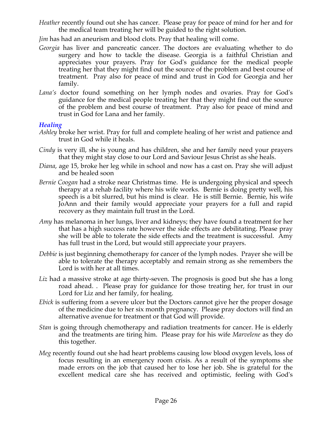- *Heather* recently found out she has cancer. Please pray for peace of mind for her and for the medical team treating her will be guided to the right solution.
- *Jim* has had an aneurism and blood clots. Pray that healing will come.
- *Georgia* has liver and pancreatic cancer. The doctors are evaluating whether to do surgery and how to tackle the disease. Georgia is a faithful Christian and appreciates your prayers. Pray for God's guidance for the medical people treating her that they might find out the source of the problem and best course of treatment. Pray also for peace of mind and trust in God for Georgia and her family.
- *Lana's* doctor found something on her lymph nodes and ovaries. Pray for God's guidance for the medical people treating her that they might find out the source of the problem and best course of treatment. Pray also for peace of mind and trust in God for Lana and her family.

#### *Healing*

- *Ashley* broke her wrist. Pray for full and complete healing of her wrist and patience and trust in God while it heals.
- *Cindy* is very ill, she is young and has children, she and her family need your prayers that they might stay close to our Lord and Saviour Jesus Christ as she heals.
- *Diana*, age 15, broke her leg while in school and now has a cast on. Pray she will adjust and be healed soon
- *Bernie Coogan* had a stroke near Christmas time. He is undergoing physical and speech therapy at a rehab facility where his wife works. Bernie is doing pretty well, his speech is a bit slurred, but his mind is clear. He is still Bernie. Bernie, his wife JoAnn and their family would appreciate your prayers for a full and rapid recovery as they maintain full trust in the Lord.
- *Amy* has melanoma in her lungs, liver and kidneys; they have found a treatment for her that has a high success rate however the side effects are debilitating. Please pray she will be able to tolerate the side effects and the treatment is successful. Amy has full trust in the Lord, but would still appreciate your prayers.
- *Debbie* is just beginning chemotherapy for cancer of the lymph nodes. Prayer she will be able to tolerate the therapy acceptably and remain strong as she remembers the Lord is with her at all times.
- Liz had a massive stroke at age thirty-seven. The prognosis is good but she has a long road ahead. . Please pray for guidance for those treating her, for trust in our Lord for Liz and her family, for healing.
- *Ebick* is suffering from a severe ulcer but the Doctors cannot give her the proper dosage of the medicine due to her six month pregnancy. Please pray doctors will find an alternative avenue for treatment or that God will provide.
- *Stan* is going through chemotherapy and radiation treatments for cancer. He is elderly and the treatments are tiring him. Please pray for his wife *Marvelene* as they do this together.
- *Meg* recently found out she had heart problems causing low blood oxygen levels, loss of focus resulting in an emergency room crisis. As a result of the symptoms she made errors on the job that caused her to lose her job. She is grateful for the excellent medical care she has received and optimistic, feeling with God's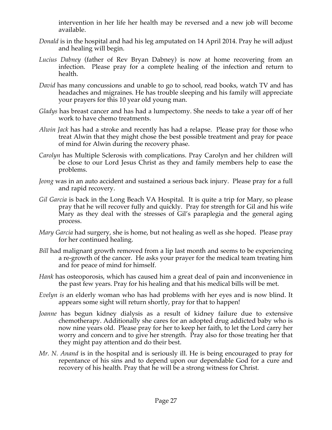intervention in her life her health may be reversed and a new job will become available.

- *Donald* is in the hospital and had his leg amputated on 14 April 2014. Pray he will adjust and healing will begin.
- *Lucius Dabney* (father of Rev Bryan Dabney) is now at home recovering from an infection. Please pray for a complete healing of the infection and return to health.
- *David* has many concussions and unable to go to school, read books, watch TV and has headaches and migraines. He has trouble sleeping and his family will appreciate your prayers for this 10 year old young man.
- *Gladys* has breast cancer and has had a lumpectomy. She needs to take a year off of her work to have chemo treatments.
- *Alwin Jack* has had a stroke and recently has had a relapse. Please pray for those who treat Alwin that they might chose the best possible treatment and pray for peace of mind for Alwin during the recovery phase.
- *Carolyn* has Multiple Sclerosis with complications. Pray Carolyn and her children will be close to our Lord Jesus Christ as they and family members help to ease the problems.
- *Jeong* was in an auto accident and sustained a serious back injury. Please pray for a full and rapid recovery.
- *Gil Garcia* is back in the Long Beach VA Hospital. It is quite a trip for Mary, so please pray that he will recover fully and quickly. Pray for strength for Gil and his wife Mary as they deal with the stresses of Gil's paraplegia and the general aging process.
- *Mary Garcia* had surgery, she is home, but not healing as well as she hoped. Please pray for her continued healing.
- *Bill* had malignant growth removed from a lip last month and seems to be experiencing a re-growth of the cancer. He asks your prayer for the medical team treating him and for peace of mind for himself.
- *Hank* has osteoporosis, which has caused him a great deal of pain and inconvenience in the past few years. Pray for his healing and that his medical bills will be met.
- *Evelyn is* an elderly woman who has had problems with her eyes and is now blind. It appears some sight will return shortly, pray for that to happen!
- *Joanne* has begun kidney dialysis as a result of kidney failure due to extensive chemotherapy. Additionally she cares for an adopted drug addicted baby who is now nine years old. Please pray for her to keep her faith, to let the Lord carry her worry and concern and to give her strength. Pray also for those treating her that they might pay attention and do their best.
- *Mr. N. Anand* is in the hospital and is seriously ill. He is being encouraged to pray for repentance of his sins and to depend upon our dependable God for a cure and recovery of his health. Pray that he will be a strong witness for Christ.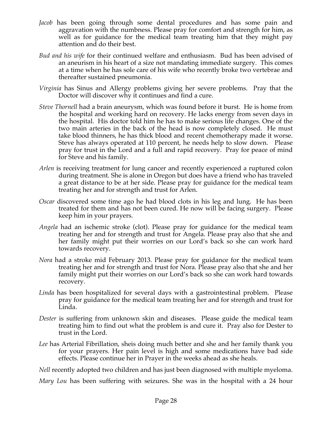- *Jacob* has been going through some dental procedures and has some pain and aggravation with the numbness. Please pray for comfort and strength for him, as well as for guidance for the medical team treating him that they might pay attention and do their best.
- *Bud and his wife* for their continued welfare and enthusiasm. Bud has been advised of an aneurism in his heart of a size not mandating immediate surgery. This comes at a time when he has sole care of his wife who recently broke two vertebrae and thereafter sustained pneumonia.
- *Virginia* has Sinus and Allergy problems giving her severe problems. Pray that the Doctor will discover why it continues and find a cure.
- *Steve Thornell* had a brain aneurysm, which was found before it burst. He is home from the hospital and working hard on recovery. He lacks energy from seven days in the hospital. His doctor told him he has to make serious life changes. One of the two main arteries in the back of the head is now completely closed. He must take blood thinners, he has thick blood and recent chemotherapy made it worse. Steve has always operated at 110 percent, he needs help to slow down. Please pray for trust in the Lord and a full and rapid recovery. Pray for peace of mind for Steve and his family.
- *Arlen* is receiving treatment for lung cancer and recently experienced a ruptured colon during treatment. She is alone in Oregon but does have a friend who has traveled a great distance to be at her side. Please pray for guidance for the medical team treating her and for strength and trust for Arlen.
- *Oscar* discovered some time ago he had blood clots in his leg and lung. He has been treated for them and has not been cured. He now will be facing surgery. Please keep him in your prayers.
- *Angela* had an ischemic stroke (clot). Please pray for guidance for the medical team treating her and for strength and trust for Angela. Please pray also that she and her family might put their worries on our Lord's back so she can work hard towards recovery.
- *Nora* had a stroke mid February 2013. Please pray for guidance for the medical team treating her and for strength and trust for Nora. Please pray also that she and her family might put their worries on our Lord's back so she can work hard towards recovery.
- *Linda* has been hospitalized for several days with a gastrointestinal problem. Please pray for guidance for the medical team treating her and for strength and trust for Linda.
- *Dester* is suffering from unknown skin and diseases. Please guide the medical team treating him to find out what the problem is and cure it. Pray also for Dester to trust in the Lord.
- *Lee* has Arterial Fibrillation, sheis doing much better and she and her family thank you for your prayers. Her pain level is high and some medications have bad side effects. Please continue her in Prayer in the weeks ahead as she heals.

*Nell* recently adopted two children and has just been diagnosed with multiple myeloma.

*Mary Lou* has been suffering with seizures. She was in the hospital with a 24 hour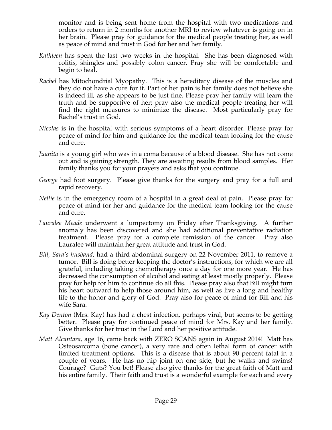monitor and is being sent home from the hospital with two medications and orders to return in 2 months for another MRI to review whatever is going on in her brain. Please pray for guidance for the medical people treating her, as well as peace of mind and trust in God for her and her family.

- *Kathleen* has spent the last two weeks in the hospital. She has been diagnosed with colitis, shingles and possibly colon cancer. Pray she will be comfortable and begin to heal.
- *Rachel* has Mitochondrial Myopathy. This is a hereditary disease of the muscles and they do not have a cure for it. Part of her pain is her family does not believe she is indeed ill, as she appears to be just fine. Please pray her family will learn the truth and be supportive of her; pray also the medical people treating her will find the right measures to minimize the disease. Most particularly pray for Rachel's trust in God.
- *Nicolas* is in the hospital with serious symptoms of a heart disorder. Please pray for peace of mind for him and guidance for the medical team looking for the cause and cure.
- *Juanita* is a young girl who was in a coma because of a blood disease. She has not come out and is gaining strength. They are awaiting results from blood samples. Her family thanks you for your prayers and asks that you continue.
- *George* had foot surgery. Please give thanks for the surgery and pray for a full and rapid recovery.
- *Nellie* is in the emergency room of a hospital in a great deal of pain. Please pray for peace of mind for her and guidance for the medical team looking for the cause and cure.
- *Lauralee Meade* underwent a lumpectomy on Friday after Thanksgiving. A further anomaly has been discovered and she had additional preventative radiation treatment. Please pray for a complete remission of the cancer. Pray also Lauralee will maintain her great attitude and trust in God.
- *Bill, Sara's husband,* had a third abdominal surgery on 22 November 2011, to remove a tumor. Bill is doing better keeping the doctor's instructions, for which we are all grateful, including taking chemotherapy once a day for one more year. He has decreased the consumption of alcohol and eating at least mostly properly. Please pray for help for him to continue do all this. Please pray also that Bill might turn his heart outward to help those around him, as well as live a long and healthy life to the honor and glory of God. Pray also for peace of mind for Bill and his wife Sara.
- *Kay Denton* (Mrs. Kay) has had a chest infection, perhaps viral, but seems to be getting better. Please pray for continued peace of mind for Mrs. Kay and her family. Give thanks for her trust in the Lord and her positive attitude.
- *Matt Alcantara*, age 16, came back with ZERO SCANS again in August 2014! Matt has Osteosarcoma (bone cancer), a very rare and often lethal form of cancer with limited treatment options. This is a disease that is about 90 percent fatal in a couple of years. He has no hip joint on one side, but he walks and swims! Courage? Guts? You bet! Please also give thanks for the great faith of Matt and his entire family. Their faith and trust is a wonderful example for each and every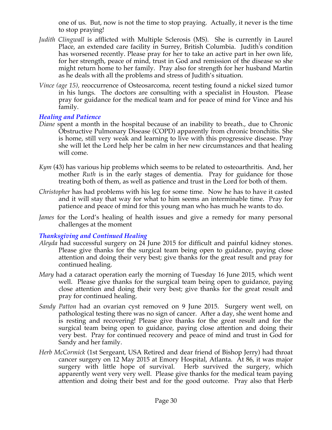one of us. But, now is not the time to stop praying. Actually, it never is the time to stop praying!

- *Judith Clingwall* is afflicted with Multiple Sclerosis (MS). She is currently in Laurel Place, an extended care facility in Surrey, British Columbia. Judith's condition has worsened recently. Please pray for her to take an active part in her own life, for her strength, peace of mind, trust in God and remission of the disease so she might return home to her family. Pray also for strength for her husband Martin as he deals with all the problems and stress of Judith's situation.
- *Vince (age 15),* reoccurrence of Osteosarcoma, recent testing found a nickel sized tumor in his lungs. The doctors are consulting with a specialist in Houston. Please pray for guidance for the medical team and for peace of mind for Vince and his family.

### *Healing and Patience*

- *Diane* spent a month in the hospital because of an inability to breath., due to Chronic Obstructive Pulmonary Disease (COPD) apparently from chronic bronchitis. She is home, still very weak and learning to live with this progressive disease. Pray she will let the Lord help her be calm in her new circumstances and that healing will come.
- *Kym* (43) has various hip problems which seems to be related to osteoarthritis. And, her mother *Ruth* is in the early stages of dementia. Pray for guidance for those treating both of them, as well as patience and trust in the Lord for both of them.
- *Christopher* has had problems with his leg for some time. Now he has to have it casted and it will stay that way for what to him seems an interminable time. Pray for patience and peace of mind for this young man who has much he wants to do.
- *James* for the Lord's healing of health issues and give a remedy for many personal challenges at the moment

### *Thanksgiving and Continued Healing*

- *Aleyda* had successful surgery on 24 June 2015 for difficult and painful kidney stones. Please give thanks for the surgical team being open to guidance, paying close attention and doing their very best; give thanks for the great result and pray for continued healing.
- *Mary* had a cataract operation early the morning of Tuesday 16 June 2015, which went well. Please give thanks for the surgical team being open to guidance, paying close attention and doing their very best; give thanks for the great result and pray for continued healing.
- *Sandy Patton* had an ovarian cyst removed on 9 June 2015. Surgery went well, on pathological testing there was no sign of cancer. After a day, she went home and is resting and recovering! Please give thanks for the great result and for the surgical team being open to guidance, paying close attention and doing their very best. Pray for continued recovery and peace of mind and trust in God for Sandy and her family.
- *Herb McCormick* (1st Sergeant, USA Retired and dear friend of Bishop Jerry) had throat cancer surgery on 12 May 2015 at Emory Hospital, Atlanta. At 86, it was major surgery with little hope of survival. Herb survived the surgery, which apparently went very very well. Please give thanks for the medical team paying attention and doing their best and for the good outcome. Pray also that Herb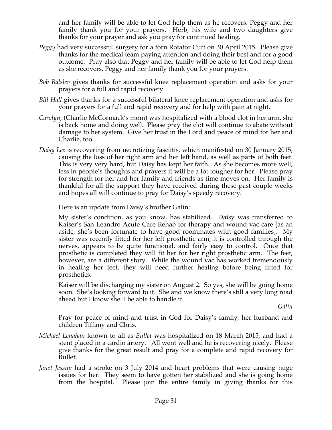and her family will be able to let God help them as he recovers. Peggy and her family thank you for your prayers. Herb, his wife and two daughters give thanks for your prayer and ask you pray for continued healing.

- *Peggy* had very successful surgery for a torn Rotator Cuff on 30 April 2015. Please give thanks for the medical team paying attention and doing their best and for a good outcome. Pray also that Peggy and her family will be able to let God help them as she recovers. Peggy and her family thank you for your prayers.
- *Bob Balslev* gives thanks for successful knee replacement operation and asks for your prayers for a full and rapid recovery.
- *Bill Hall* gives thanks for a successful bilateral knee replacement operation and asks for your prayers for a full and rapid recovery and for help with pain at night.
- *Carolyn,* (Charlie McCormack's mom) was hospitalized with a blood clot in her arm, she is back home and doing well. Please pray the clot will continue to abate without damage to her system. Give her trust in the Lord and peace of mind for her and Charlie, too.
- *Daisy Lee* is recovering from necrotizing fasciitis, which manifested on 30 January 2015, causing the loss of her right arm and her left hand, as well as parts of both feet. This is very very hard, but Daisy has kept her faith. As she becomes more well, less in people's thoughts and prayers it will be a lot tougher for her. Please pray for strength for her and her family and friends as time moves on. Her family is thankful for all the support they have received during these past couple weeks and hopes all will continue to pray for Daisy's speedy recovery.

Here is an update from Daisy's brother Galin:

My sister's condition, as you know, has stabilized. Daisy was transferred to Kaiser's San Leandro Acute Care Rehab for therapy and wound vac care [as an aside, she's been fortunate to have good roommates with good families]. My sister was recently fitted for her left prosthetic arm; it is controlled through the nerves, appears to be quite functional, and fairly easy to control. Once that prosthetic is completed they will fit her for her right prosthetic arm. The feet, however, are a different story. While the wound vac has worked tremendously in healing her feet, they will need further healing before being fitted for prosthetics.

Kaiser will be discharging my sister on August 2. So yes, she will be going home soon. She's looking forward to it. She and we know there's still a very long road ahead but I know she'll be able to handle it.

*Galin*

Pray for peace of mind and trust in God for Daisy's family, her husband and children Tiffany and Chris.

- *Michael Lenahan* known to all as *Bullet* was hospitalized on 18 March 2015, and had a stent placed in a cardio artery. All went well and he is recovering nicely. Please give thanks for the great result and pray for a complete and rapid recovery for Bullet.
- *Janet Jessup* had a stroke on 3 July 2014 and heart problems that were causing huge issues for her. They seem to have gotten her stabilized and she is going home from the hospital. Please join the entire family in giving thanks for this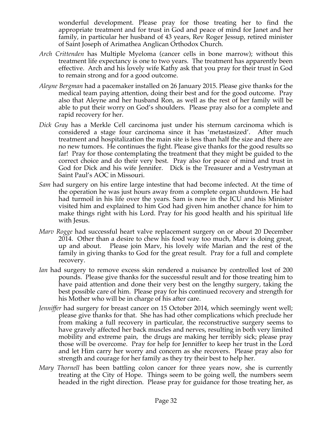wonderful development. Please pray for those treating her to find the appropriate treatment and for trust in God and peace of mind for Janet and her family, in particular her husband of 43 years, Rev Roger Jessup, retired minister of Saint Joseph of Arimathea Anglican Orthodox Church.

- *Arch Crittenden* has Multiple Myeloma (cancer cells in bone marrow); without this treatment life expectancy is one to two years. The treatment has apparently been effective. Arch and his lovely wife Kathy ask that you pray for their trust in God to remain strong and for a good outcome.
- *Aleyne Bergman* had a pacemaker installed on 26 January 2015. Please give thanks for the medical team paying attention, doing their best and for the good outcome. Pray also that Aleyne and her husband Ron, as well as the rest of her family will be able to put their worry on God's shoulders. Please pray also for a complete and rapid recovery for her.
- *Dick Gray* has a Merkle Cell carcinoma just under his sternum carcinoma which is considered a stage four carcinoma since it has 'metastasized'. After much treatment and hospitalization the main site is less than half the size and there are no new tumors. He continues the fight. Please give thanks for the good results so far! Pray for those contemplating the treatment that they might be guided to the correct choice and do their very best. Pray also for peace of mind and trust in God for Dick and his wife Jennifer. Dick is the Treasurer and a Vestryman at Saint Paul's AOC in Missouri.
- *Sam* had surgery on his entire large intestine that had become infected. At the time of the operation he was just hours away from a complete organ shutdown. He had had turmoil in his life over the years. Sam is now in the ICU and his Minister visited him and explained to him God had given him another chance for him to make things right with his Lord. Pray for his good health and his spiritual life with Jesus.
- *Marv Rogge* had successful heart valve replacement surgery on or about 20 December 2014. Other than a desire to chew his food way too much, Marv is doing great, up and about. Please join Marv, his lovely wife Marian and the rest of the family in giving thanks to God for the great result. Pray for a full and complete recovery.
- *Ian* had surgery to remove excess skin rendered a nuisance by controlled lost of 200 pounds. Please give thanks for the successful result and for those treating him to have paid attention and done their very best on the lengthy surgery, taking the best possible care of him. Please pray for his continued recovery and strength for his Mother who will be in charge of his after care.
- *Jenniffer* had surgery for breast cancer on 15 October 2014, which seemingly went well; please give thanks for that. She has had other complications which preclude her from making a full recovery in particular, the reconstructive surgery seems to have gravely affected her back muscles and nerves, resulting in both very limited mobility and extreme pain, the drugs are making her terribly sick; please pray those will be overcome. Pray for help for Jenniffer to keep her trust in the Lord and let Him carry her worry and concern as she recovers. Please pray also for strength and courage for her family as they try their best to help her.
- *Mary Thornell* has been battling colon cancer for three years now, she is currently treating at the City of Hope. Things seem to be going well, the numbers seem headed in the right direction. Please pray for guidance for those treating her, as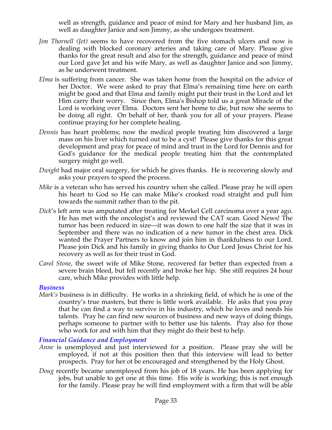well as strength, guidance and peace of mind for Mary and her husband Jim, as well as daughter Janice and son Jimmy, as she undergoes treatment.

- *Jim Thornell (Jet)* seems to have recovered from the five stomach ulcers and now is dealing with blocked coronary arteries and taking care of Mary. Please give thanks for the great result and also for the strength, guidance and peace of mind our Lord gave Jet and his wife Mary, as well as daughter Janice and son Jimmy, as he underwent treatment.
- *Elma* is suffering from cancer. She was taken home from the hospital on the advice of her Doctor. We were asked to pray that Elma's remaining time here on earth might be good and that Elma and family might put their trust in the Lord and let Him carry their worry. Since then, Elma's Bishop told us a great Miracle of the Lord is working over Elma. Doctors sent her home to die, but now she seems to be doing all right. On behalf of her, thank you for all of your prayers. Please continue praying for her complete healing.
- *Dennis* has heart problems; now the medical people treating him discovered a large mass on his liver which turned out to be a cyst! Please give thanks for this great development and pray for peace of mind and trust in the Lord for Dennis and for God's guidance for the medical people treating him that the contemplated surgery might go well.
- *Dwight* had major oral surgery, for which he gives thanks. He is recovering slowly and asks your prayers to speed the process.
- *Mike* is a veteran who has served his country when she called. Please pray he will open his heart to God so He can make Mike's crooked road straight and pull him towards the summit rather than to the pit.
- *Dick*'s left arm was amputated after treating for Merkel Cell carcinoma over a year ago. He has met with the oncologist's and reviewed the CAT scan. Good News! The tumor has been reduced in size—it was down to one half the size that it was in September and there was no indication of a new tumor in the chest area. Dick wanted the Prayer Partners to know and join him in thankfulness to our Lord. Please join Dick and his family in giving thanks to Our Lord Jesus Christ for his recovery as well as for their trust in God.
- *Carol Stone*, the sweet wife of Mike Stone, recovered far better than expected from a severe brain bleed, but fell recently and broke her hip. She still requires 24 hour care, which Mike provides with little help.

#### *Business*

*Mark's* business is in difficulty. He works in a shrinking field, of which he is one of the country's true masters, but there is little work available. He asks that you pray that he can find a way to survive in his industry, which he loves and needs his talents. Pray he can find new sources of business and new ways of doing things, perhaps someone to partner with to better use his talents. Pray also for those who work for and with him that they might do their best to help.

#### *Financial Guidance and Employment*

- *Anne* is unemployed and just interviewed for a position. Please pray she will be employed, if not at this position then that this interview will lead to better prospects. Pray for her ot be encouraged and strengthened by the Holy Ghost.
- *Doug* recently became unemployed from his job of 18 years. He has been applying for jobs, but unable to get one at this time. His wife is working; this is not enough for the family. Please pray he will find employment with a firm that will be able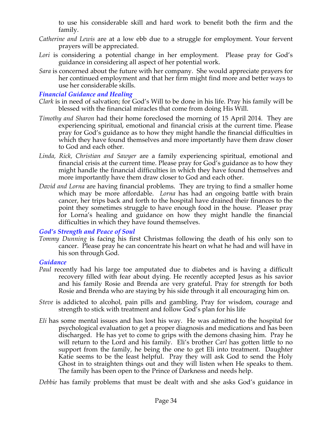to use his considerable skill and hard work to benefit both the firm and the family.

- *Catherine and Lewis* are at a low ebb due to a struggle for employment. Your fervent prayers will be appreciated.
- Lori is considering a potential change in her employment. Please pray for God's guidance in considering all aspect of her potential work.
- *Sara* is concerned about the future with her company. She would appreciate prayers for her continued employment and that her firm might find more and better ways to use her considerable skills.

#### *Financial Guidance and Healing*

- *Clark* is in need of salvation; for God's Will to be done in his life. Pray his family will be blessed with the financial miracles that come from doing His Will.
- *Timothy and Sharon* had their home foreclosed the morning of 15 April 2014. They are experiencing spiritual, emotional and financial crisis at the current time. Please pray for God's guidance as to how they might handle the financial difficulties in which they have found themselves and more importantly have them draw closer to God and each other.
- *Linda, Rick, Christian and Sawyer* are a family experiencing spiritual, emotional and financial crisis at the current time. Please pray for God's guidance as to how they might handle the financial difficulties in which they have found themselves and more importantly have them draw closer to God and each other.
- *David and Lorna* are having financial problems. They are trying to find a smaller home which may be more affordable. *Lorna* has had an ongoing battle with brain cancer, her trips back and forth to the hospital have drained their finances to the point they sometimes struggle to have enough food in the house. Pleaser pray for Lorna's healing and guidance on how they might handle the financial difficulties in which they have found themselves.

#### *God's Strength and Peace of Soul*

*Tommy Dunning* is facing his first Christmas following the death of his only son to cancer. Please pray he can concentrate his heart on what he had and will have in his son through God.

#### *Guidance*

- *Paul* recently had his large toe amputated due to diabetes and is having a difficult recovery filled with fear about dying. He recently accepted Jesus as his savior and his family Rosie and Brenda are very grateful. Pray for strength for both Rosie and Brenda who are staying by his side through it all encouraging him on.
- *Steve* is addicted to alcohol, pain pills and gambling. Pray for wisdom, courage and strength to stick with treatment and follow God's plan for his life
- *Eli* has some mental issues and has lost his way. He was admitted to the hospital for psychological evaluation to get a proper diagnosis and medications and has been discharged. He has yet to come to grips with the demons chasing him. Pray he will return to the Lord and his family. Eli's brother *Carl* has gotten little to no support from the family, he being the one to get Eli into treatment. Daughter Katie seems to be the least helpful. Pray they will ask God to send the Holy Ghost in to straighten things out and they will listen when He speaks to them. The family has been open to the Prince of Darkness and needs help.

*Debbie* has family problems that must be dealt with and she asks God's guidance in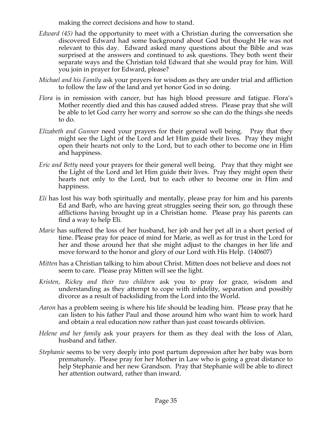making the correct decisions and how to stand.

- *Edward (45)* had the opportunity to meet with a Christian during the conversation she discovered Edward had some background about God but thought He was not relevant to this day. Edward asked many questions about the Bible and was surprised at the answers and continued to ask questions. They both went their separate ways and the Christian told Edward that she would pray for him. Will you join in prayer for Edward, please?
- *Michael and his Family* ask your prayers for wisdom as they are under trial and affliction to follow the law of the land and yet honor God in so doing.
- *Flora* is in remission with cancer, but has high blood pressure and fatigue. Flora's Mother recently died and this has caused added stress. Please pray that she will be able to let God carry her worry and sorrow so she can do the things she needs to do.
- *Elizabeth and Gunner* need your prayers for their general well being. Pray that they might see the Light of the Lord and let Him guide their lives. Pray they might open their hearts not only to the Lord, but to each other to become one in Him and happiness.
- *Eric and Betty* need your prayers for their general well being. Pray that they might see the Light of the Lord and let Him guide their lives. Pray they might open their hearts not only to the Lord, but to each other to become one in Him and happiness.
- *Eli* has lost his way both spiritually and mentally, please pray for him and his parents Ed and Barb, who are having great struggles seeing their son, go through these afflictions having brought up in a Christian home. Please pray his parents can find a way to help Eli.
- *Marie* has suffered the loss of her husband, her job and her pet all in a short period of time. Please pray for peace of mind for Marie, as well as for trust in the Lord for her and those around her that she might adjust to the changes in her life and move forward to the honor and glory of our Lord with His Help. (140607)
- *Mitten* has a Christian talking to him about Christ. Mitten does not believe and does not seem to care. Please pray Mitten will see the light.
- *Kristen, Rickey and their two children* ask you to pray for grace, wisdom and understanding as they attempt to cope with infidelity, separation and possibly divorce as a result of backsliding from the Lord into the World.
- *Aaron* has a problem seeing is where his life should be leading him. Please pray that he can listen to his father Paul and those around him who want him to work hard and obtain a real education now rather than just coast towards oblivion.
- *Helene and her family* ask your prayers for them as they deal with the loss of Alan, husband and father.
- *Stephanie* seems to be very deeply into post partum depression after her baby was born prematurely. Please pray for her Mother in Law who is going a great distance to help Stephanie and her new Grandson. Pray that Stephanie will be able to direct her attention outward, rather than inward.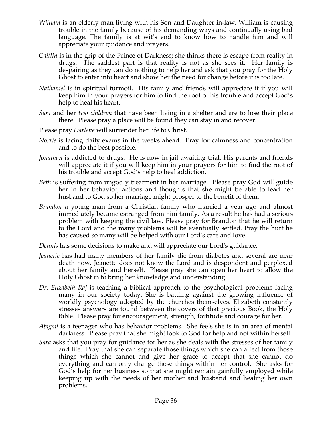- *William* is an elderly man living with his Son and Daughter in-law. William is causing trouble in the family because of his demanding ways and continually using bad language. The family is at wit's end to know how to handle him and will appreciate your guidance and prayers.
- *Caitlin* is in the grip of the Prince of Darkness; she thinks there is escape from reality in drugs. The saddest part is that reality is not as she sees it. Her family is despairing as they can do nothing to help her and ask that you pray for the Holy Ghost to enter into heart and show her the need for change before it is too late.
- *Nathaniel* is in spiritual turmoil. His family and friends will appreciate it if you will keep him in your prayers for him to find the root of his trouble and accept God's help to heal his heart.
- *Sam* and her *two children* that have been living in a shelter and are to lose their place there. Please pray a place will be found they can stay in and recover.
- Please pray *Darlene* will surrender her life to Christ.
- *Norrie* is facing daily exams in the weeks ahead. Pray for calmness and concentration and to do the best possible.
- *Jonathan* is addicted to drugs. He is now in jail awaiting trial. His parents and friends will appreciate it if you will keep him in your prayers for him to find the root of his trouble and accept God's help to heal addiction.
- *Beth* is suffering from ungodly treatment in her marriage. Please pray God will guide her in her behavior, actions and thoughts that she might be able to lead her husband to God so her marriage might prosper to the benefit of them.
- *Brandon* a young man from a Christian family who married a year ago and almost immediately became estranged from him family. As a result he has had a serious problem with keeping the civil law. Please pray for Brandon that he will return to the Lord and the many problems will be eventually settled. Pray the hurt he has caused so many will be helped with our Lord's care and love.

*Dennis* has some decisions to make and will appreciate our Lord's guidance.

- *Jeanette* has had many members of her family die from diabetes and several are near death now. Jeanette does not know the Lord and is despondent and perplexed about her family and herself. Please pray she can open her heart to allow the Holy Ghost in to bring her knowledge and understanding.
- *Dr. Elizabeth Raj* is teaching a biblical approach to the psychological problems facing many in our society today. She is battling against the growing influence of worldly psychology adopted by the churches themselves. Elizabeth constantly stresses answers are found between the covers of that precious Book, the Holy Bible. Please pray for encouragement, strength, fortitude and courage for her.
- *Abigail* is a teenager who has behavior problems. She feels she is in an area of mental darkness. Please pray that she might look to God for help and not within herself.
- *Sara* asks that you pray for guidance for her as she deals with the stresses of her family and life. Pray that she can separate those things which she can affect from those things which she cannot and give her grace to accept that she cannot do everything and can only change those things within her control. She asks for God's help for her business so that she might remain gainfully employed while keeping up with the needs of her mother and husband and healing her own problems.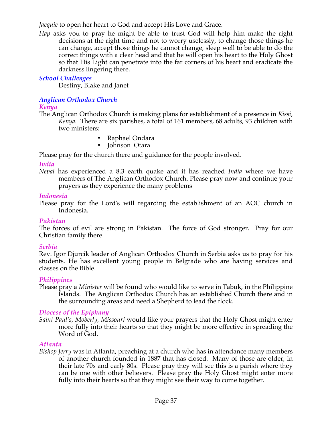*Jacquie* to open her heart to God and accept His Love and Grace.

*Hap* asks you to pray he might be able to trust God will help him make the right decisions at the right time and not to worry uselessly, to change those things he can change, accept those things he cannot change, sleep well to be able to do the correct things with a clear head and that he will open his heart to the Holy Ghost so that His Light can penetrate into the far corners of his heart and eradicate the darkness lingering there.

# *School Challenges*

Destiny, Blake and Janet

# *Anglican Orthodox Church*

### *Kenya*

The Anglican Orthodox Church is making plans for establishment of a presence in *Kissi, Kenya.* There are six parishes, a total of 161 members, 68 adults, 93 children with two ministers:

- Raphael Ondara
- Johnson Otara

• Please pray for the church there and guidance for the people involved.

## *India*

*Nepal* has experienced a 8.3 earth quake and it has reached *India* where we have members of The Anglican Orthodox Church. Please pray now and continue your prayers as they experience the many problems

### *Indonesia*

Please pray for the Lord's will regarding the establishment of an AOC church in Indonesia.

# *Pakistan*

The forces of evil are strong in Pakistan. The force of God stronger. Pray for our Christian family there.

### *Serbia*

Rev. Igor Djurcik leader of Anglican Orthodox Church in Serbia asks us to pray for his students. He has excellent young people in Belgrade who are having services and classes on the Bible.

### *Philippines*

Please pray a *Minister* will be found who would like to serve in Tabuk, in the Philippine Islands. The Anglican Orthodox Church has an established Church there and in the surrounding areas and need a Shepherd to lead the flock*.*

# *Diocese of the Epiphany*

*Saint Paul's, Moberly, Missouri* would like your prayers that the Holy Ghost might enter more fully into their hearts so that they might be more effective in spreading the Word of God.

### *Atlanta*

*Bishop Jerry* was in Atlanta, preaching at a church who has in attendance many members of another church founded in 1887 that has closed. Many of those are older, in their late 70s and early 80s. Please pray they will see this is a parish where they can be one with other believers. Please pray the Holy Ghost might enter more fully into their hearts so that they might see their way to come together.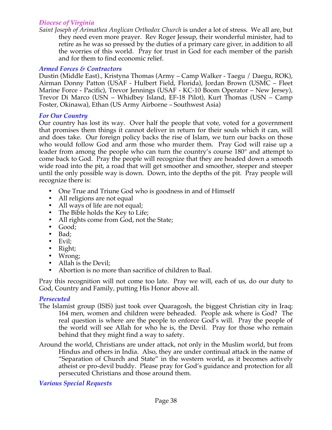### *Diocese of Virginia*

*Saint Joseph of Arimathea Anglican Orthodox Church* is under a lot of stress. We all are, but they need even more prayer. Rev Roger Jessup, their wonderful minister, had to retire as he was so pressed by the duties of a primary care giver, in addition to all the worries of this world. Pray for trust in God for each member of the parish and for them to find economic relief.

#### *Armed Forces & Contractors*

Dustin (Middle East)., Kristyna Thomas (Army – Camp Walker - Taegu / Daegu, ROK), Airman Donny Patton (USAF - Hulbert Field, Florida), Jordan Brown (USMC – Fleet Marine Force - Pacific), Trevor Jennings (USAF - KC-10 Boom Operator – New Jersey), Trevor Di Marco (USN – Whidbey Island, EF-18 Pilot), Kurt Thomas (USN – Camp Foster, Okinawa), Ethan (US Army Airborne – Southwest Asia)

#### *For Our Country*

Our country has lost its way. Over half the people that vote, voted for a government that promises them things it cannot deliver in return for their souls which it can, will and does take. Our foreign policy backs the rise of Islam, we turn our backs on those who would follow God and arm those who murder them. Pray God will raise up a leader from among the people who can turn the country's course 180° and attempt to come back to God. Pray the people will recognize that they are headed down a smooth wide road into the pit, a road that will get smoother and smoother, steeper and steeper until the only possible way is down. Down, into the depths of the pit. Pray people will recognize there is:

- One True and Triune God who is goodness in and of Himself
- All religions are not equal
- All ways of life are not equal;
- The Bible holds the Key to Life;
- All rights come from God, not the State;
- Good;
- Bad;
- Evil;
- Right;
- Wrong;
- Allah is the Devil;<br>• Abortion is no mo
- Abortion is no more than sacrifice of children to Baal.

Pray this recognition will not come too late. Pray we will, each of us, do our duty to God, Country and Family, putting His Honor above all.

#### *Persecuted*

- The Islamist group (ISIS) just took over Quaragosh, the biggest Christian city in Iraq; 164 men, women and children were beheaded. People ask where is God? The real question is where are the people to enforce God's will. Pray the people of the world will see Allah for who he is, the Devil. Pray for those who remain behind that they might find a way to safety.
- Around the world, Christians are under attack, not only in the Muslim world, but from Hindus and others in India. Also, they are under continual attack in the name of "Separation of Church and State" in the western world, as it becomes actively atheist or pro-devil buddy. Please pray for God's guidance and protection for all persecuted Christians and those around them.

### *Various Special Requests*